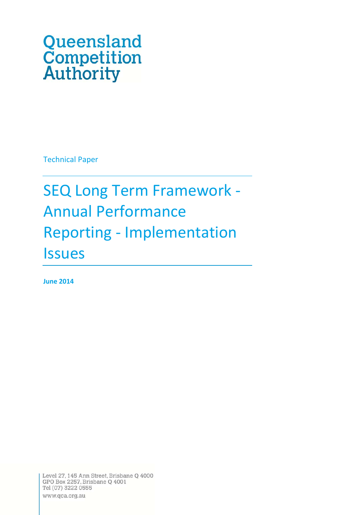# Queensland **Competition**<br>Authority

Technical Paper

# SEQ Long Term Framework ‐ Annual Performance Reporting ‐ Implementation **Issues**

**June 2014**

Level 27, 145 Ann Street, Brisbane Q 4000 GPO Box 2257, Brisbane Q 4001 Tel (07) 3222 0555 www.qca.org.au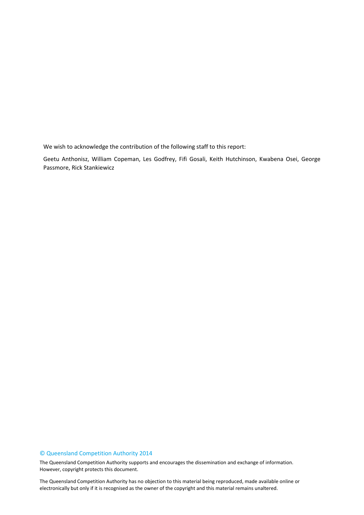We wish to acknowledge the contribution of the following staff to this report:

Geetu Anthonisz, William Copeman, Les Godfrey, Fifi Gosali, Keith Hutchinson, Kwabena Osei, George Passmore, Rick Stankiewicz

#### © Queensland Competition Authority 2014

The Queensland Competition Authority supports and encourages the dissemination and exchange of information. However, copyright protects this document.

2 electronically but only if it is recognised as the owner of the copyright and this material remains unaltered.The Queensland Competition Authority has no objection to this material being reproduced, made available online or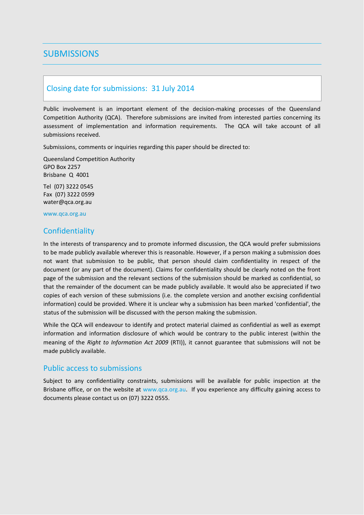# **SUBMISSIONS**

# Closing date for submissions: 31 July 2014

Public involvement is an important element of the decision-making processes of the Queensland Competition Authority (QCA). Therefore submissions are invited from interested parties concerning its assessment of implementation and information requirements. The QCA will take account of all submissions received.

Submissions, comments or inquiries regarding this paper should be directed to:

Queensland Competition Authority GPO Box 2257 Brisbane Q 4001

Tel (07) 3222 0545 Fax (07) 3222 0599 water@qca.org.au

www.qca.org.au

# **Confidentiality**

In the interests of transparency and to promote informed discussion, the QCA would prefer submissions to be made publicly available wherever this is reasonable. However, if a person making a submission does not want that submission to be public, that person should claim confidentiality in respect of the document (or any part of the document). Claims for confidentiality should be clearly noted on the front page of the submission and the relevant sections of the submission should be marked as confidential, so that the remainder of the document can be made publicly available. It would also be appreciated if two copies of each version of these submissions (i.e. the complete version and another excising confidential information) could be provided. Where it is unclear why a submission has been marked 'confidential', the status of the submission will be discussed with the person making the submission.

While the QCA will endeavour to identify and protect material claimed as confidential as well as exempt information and information disclosure of which would be contrary to the public interest (within the meaning of the *Right to Information Act 2009* (RTI)), it cannot guarantee that submissions will not be made publicly available.

## Public access to submissions

Subject to any confidentiality constraints, submissions will be available for public inspection at the Brisbane office, or on the website at www.qca.org.au. If you experience any difficulty gaining access to documents please contact us on (07) 3222 0555.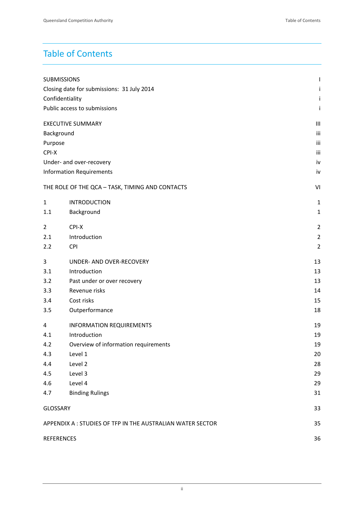# Table of Contents

| <b>SUBMISSIONS</b>                         |                                                                 | I              |  |
|--------------------------------------------|-----------------------------------------------------------------|----------------|--|
| Closing date for submissions: 31 July 2014 |                                                                 |                |  |
| Confidentiality                            |                                                                 |                |  |
|                                            | Public access to submissions                                    | j              |  |
|                                            | <b>EXECUTIVE SUMMARY</b>                                        | Ш              |  |
| Background                                 |                                                                 | iii            |  |
| Purpose                                    |                                                                 | iii            |  |
| CPI-X                                      |                                                                 | iii            |  |
|                                            | Under- and over-recovery                                        | iv             |  |
|                                            | <b>Information Requirements</b>                                 | iv             |  |
|                                            | THE ROLE OF THE QCA - TASK, TIMING AND CONTACTS                 | VI             |  |
| $\mathbf{1}$                               | <b>INTRODUCTION</b>                                             | 1              |  |
| 1.1                                        | Background                                                      | $\mathbf{1}$   |  |
| $\overline{2}$                             | CPI-X                                                           | $\overline{2}$ |  |
| 2.1                                        | Introduction                                                    | $\overline{2}$ |  |
| 2.2                                        | <b>CPI</b>                                                      | $\overline{2}$ |  |
| 3                                          | UNDER- AND OVER-RECOVERY                                        | 13             |  |
| 3.1                                        | Introduction                                                    | 13             |  |
| 3.2                                        | Past under or over recovery                                     | 13             |  |
| 3.3                                        | Revenue risks                                                   | 14             |  |
| 3.4                                        | Cost risks                                                      | 15             |  |
| 3.5                                        | Outperformance                                                  | 18             |  |
| 4                                          | <b>INFORMATION REQUIREMENTS</b>                                 | 19             |  |
| 4.1                                        | Introduction                                                    | 19             |  |
| 4.2                                        | Overview of information requirements                            | 19             |  |
| 4.3                                        | Level 1                                                         | 20             |  |
| 4.4                                        | Level 2                                                         | 28             |  |
| 4.5                                        | Level 3                                                         | 29             |  |
| 4.6                                        | Level 4                                                         | 29             |  |
| 4.7                                        | <b>Binding Rulings</b>                                          | 31             |  |
| <b>GLOSSARY</b>                            |                                                                 | 33             |  |
|                                            | APPENDIX A: STUDIES OF TFP IN THE AUSTRALIAN WATER SECTOR<br>35 |                |  |
| <b>REFERENCES</b>                          |                                                                 | 36             |  |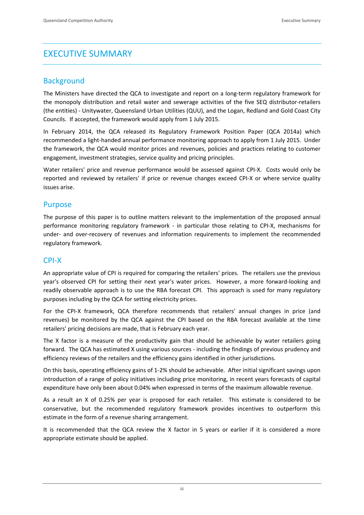# EXECUTIVE SUMMARY

# **Background**

The Ministers have directed the QCA to investigate and report on a long-term regulatory framework for the monopoly distribution and retail water and sewerage activities of the five SEQ distributor-retailers (the entities) ‐ Unitywater, Queensland Urban Utilities (QUU), and the Logan, Redland and Gold Coast City Councils. If accepted, the framework would apply from 1 July 2015.

In February 2014, the QCA released its Regulatory Framework Position Paper (QCA 2014a) which recommended a light-handed annual performance monitoring approach to apply from 1 July 2015. Under the framework, the QCA would monitor prices and revenues, policies and practices relating to customer engagement, investment strategies, service quality and pricing principles.

Water retailers' price and revenue performance would be assessed against CPI-X. Costs would only be reported and reviewed by retailers' if price or revenue changes exceed CPI‐X or where service quality issues arise.

# Purpose

The purpose of this paper is to outline matters relevant to the implementation of the proposed annual performance monitoring regulatory framework - in particular those relating to CPI-X, mechanisms for under‐ and over‐recovery of revenues and information requirements to implement the recommended regulatory framework.

# CPI‐X

An appropriate value of CPI is required for comparing the retailers' prices. The retailers use the previous year's observed CPI for setting their next year's water prices. However, a more forward-looking and readily observable approach is to use the RBA forecast CPI. This approach is used for many regulatory purposes including by the QCA for setting electricity prices.

For the CPI-X framework, QCA therefore recommends that retailers' annual changes in price (and revenues) be monitored by the QCA against the CPI based on the RBA forecast available at the time retailers' pricing decisions are made, that is February each year.

The X factor is a measure of the productivity gain that should be achievable by water retailers going forward. The QCA has estimated X using various sources ‐ including the findings of previous prudency and efficiency reviews of the retailers and the efficiency gains identified in other jurisdictions.

On this basis, operating efficiency gains of 1‐2% should be achievable. After initial significant savings upon introduction of a range of policy initiatives including price monitoring, in recent years forecasts of capital expenditure have only been about 0.04% when expressed in terms of the maximum allowable revenue.

As a result an X of 0.25% per year is proposed for each retailer. This estimate is considered to be conservative, but the recommended regulatory framework provides incentives to outperform this estimate in the form of a revenue sharing arrangement.

It is recommended that the QCA review the X factor in 5 years or earlier if it is considered a more appropriate estimate should be applied.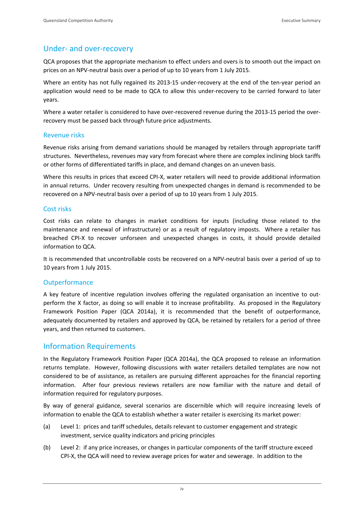# Under‐ and over‐recovery

QCA proposes that the appropriate mechanism to effect unders and overs is to smooth out the impact on prices on an NPV‐neutral basis over a period of up to 10 years from 1 July 2015.

Where an entity has not fully regained its 2013-15 under-recovery at the end of the ten-year period an application would need to be made to QCA to allow this under-recovery to be carried forward to later years.

Where a water retailer is considered to have over-recovered revenue during the 2013-15 period the overrecovery must be passed back through future price adjustments.

## Revenue risks

Revenue risks arising from demand variations should be managed by retailers through appropriate tariff structures. Nevertheless, revenues may vary from forecast where there are complex inclining block tariffs or other forms of differentiated tariffs in place, and demand changes on an uneven basis.

Where this results in prices that exceed CPI-X, water retailers will need to provide additional information in annual returns. Under recovery resulting from unexpected changes in demand is recommended to be recovered on a NPV‐neutral basis over a period of up to 10 years from 1 July 2015.

# Cost risks

Cost risks can relate to changes in market conditions for inputs (including those related to the maintenance and renewal of infrastructure) or as a result of regulatory imposts. Where a retailer has breached CPI‐X to recover unforseen and unexpected changes in costs, it should provide detailed information to QCA.

It is recommended that uncontrollable costs be recovered on a NPV‐neutral basis over a period of up to 10 years from 1 July 2015.

# **Outperformance**

A key feature of incentive regulation involves offering the regulated organisation an incentive to out‐ perform the X factor, as doing so will enable it to increase profitability. As proposed in the Regulatory Framework Position Paper (QCA 2014a), it is recommended that the benefit of outperformance, adequately documented by retailers and approved by QCA, be retained by retailers for a period of three years, and then returned to customers.

# Information Requirements

In the Regulatory Framework Position Paper (QCA 2014a), the QCA proposed to release an information returns template. However, following discussions with water retailers detailed templates are now not considered to be of assistance, as retailers are pursuing different approaches for the financial reporting information. After four previous reviews retailers are now familiar with the nature and detail of information required for regulatory purposes.

By way of general guidance, several scenarios are discernible which will require increasing levels of information to enable the QCA to establish whether a water retailer is exercising its market power:

- (a) Level 1: prices and tariff schedules, details relevant to customer engagement and strategic investment, service quality indicators and pricing principles
- (b) Level 2: if any price increases, or changes in particular components of the tariff structure exceed CPI‐X, the QCA will need to review average prices for water and sewerage. In addition to the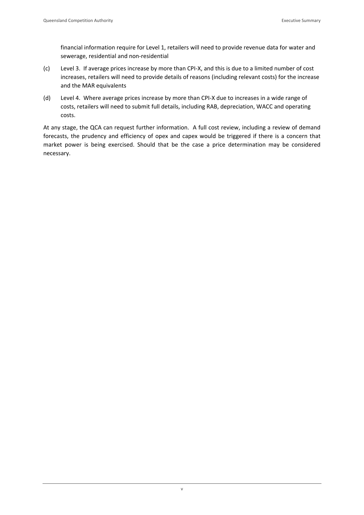financial information require for Level 1, retailers will need to provide revenue data for water and sewerage, residential and non‐residential

- (c) Level 3. If average prices increase by more than CPI‐X, and this is due to a limited number of cost increases, retailers will need to provide details of reasons (including relevant costs) for the increase and the MAR equivalents
- (d) Level 4. Where average prices increase by more than CPI‐X due to increases in a wide range of costs, retailers will need to submit full details, including RAB, depreciation, WACC and operating costs.

At any stage, the QCA can request further information. A full cost review, including a review of demand forecasts, the prudency and efficiency of opex and capex would be triggered if there is a concern that market power is being exercised. Should that be the case a price determination may be considered necessary.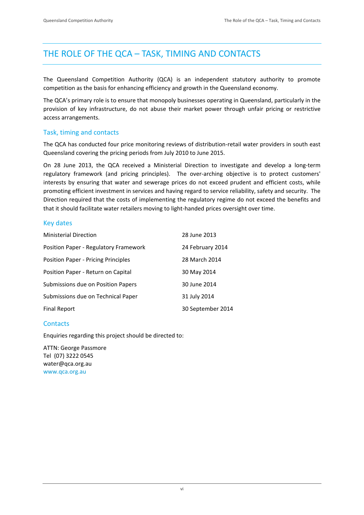# THE ROLE OF THE QCA – TASK, TIMING AND CONTACTS

The Queensland Competition Authority (QCA) is an independent statutory authority to promote competition as the basis for enhancing efficiency and growth in the Queensland economy.

The QCA's primary role is to ensure that monopoly businesses operating in Queensland, particularly in the provision of key infrastructure, do not abuse their market power through unfair pricing or restrictive access arrangements.

# Task, timing and contacts

The QCA has conducted four price monitoring reviews of distribution‐retail water providers in south east Queensland covering the pricing periods from July 2010 to June 2015.

On 28 June 2013, the QCA received a Ministerial Direction to investigate and develop a long‐term regulatory framework (and pricing principles). The over-arching objective is to protect customers' interests by ensuring that water and sewerage prices do not exceed prudent and efficient costs, while promoting efficient investment in services and having regard to service reliability, safety and security. The Direction required that the costs of implementing the regulatory regime do not exceed the benefits and that it should facilitate water retailers moving to light‐handed prices oversight over time.

# Key dates

| <b>Ministerial Direction</b>               | 28 June 2013      |
|--------------------------------------------|-------------------|
| Position Paper - Regulatory Framework      | 24 February 2014  |
| <b>Position Paper - Pricing Principles</b> | 28 March 2014     |
| Position Paper - Return on Capital         | 30 May 2014       |
| Submissions due on Position Papers         | 30 June 2014      |
| Submissions due on Technical Paper         | 31 July 2014      |
| Final Report                               | 30 September 2014 |

# **Contacts**

Enquiries regarding this project should be directed to:

ATTN: George Passmore Tel (07) 3222 0545 water@qca.org.au www.qca.org.au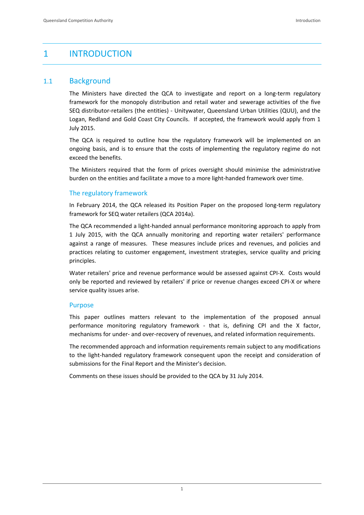# 1 INTRODUCTION

# 1.1 Background

The Ministers have directed the QCA to investigate and report on a long-term regulatory framework for the monopoly distribution and retail water and sewerage activities of the five SEQ distributor‐retailers (the entities) ‐ Unitywater, Queensland Urban Utilities (QUU), and the Logan, Redland and Gold Coast City Councils. If accepted, the framework would apply from 1 July 2015.

The QCA is required to outline how the regulatory framework will be implemented on an ongoing basis, and is to ensure that the costs of implementing the regulatory regime do not exceed the benefits.

The Ministers required that the form of prices oversight should minimise the administrative burden on the entities and facilitate a move to a more light-handed framework over time.

# The regulatory framework

In February 2014, the QCA released its Position Paper on the proposed long-term regulatory framework for SEQ water retailers (QCA 2014a).

The QCA recommended a light-handed annual performance monitoring approach to apply from 1 July 2015, with the QCA annually monitoring and reporting water retailers' performance against a range of measures. These measures include prices and revenues, and policies and practices relating to customer engagement, investment strategies, service quality and pricing principles.

Water retailers' price and revenue performance would be assessed against CPI-X. Costs would only be reported and reviewed by retailers' if price or revenue changes exceed CPI‐X or where service quality issues arise.

## Purpose

This paper outlines matters relevant to the implementation of the proposed annual performance monitoring regulatory framework - that is, defining CPI and the X factor, mechanisms for under‐ and over‐recovery of revenues, and related information requirements.

The recommended approach and information requirements remain subject to any modifications to the light-handed regulatory framework consequent upon the receipt and consideration of submissions for the Final Report and the Minister's decision.

Comments on these issues should be provided to the QCA by 31 July 2014.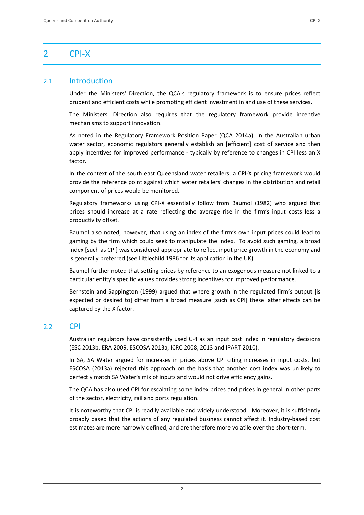# 2.1 Introduction

Under the Ministers' Direction, the QCA's regulatory framework is to ensure prices reflect prudent and efficient costs while promoting efficient investment in and use of these services.

The Ministers' Direction also requires that the regulatory framework provide incentive mechanisms to support innovation.

As noted in the Regulatory Framework Position Paper (QCA 2014a), in the Australian urban water sector, economic regulators generally establish an [efficient] cost of service and then apply incentives for improved performance - typically by reference to changes in CPI less an X factor.

In the context of the south east Queensland water retailers, a CPI‐X pricing framework would provide the reference point against which water retailers' changes in the distribution and retail component of prices would be monitored.

Regulatory frameworks using CPI‐X essentially follow from Baumol (1982) who argued that prices should increase at a rate reflecting the average rise in the firm's input costs less a productivity offset.

Baumol also noted, however, that using an index of the firm's own input prices could lead to gaming by the firm which could seek to manipulate the index. To avoid such gaming, a broad index [such as CPI] was considered appropriate to reflect input price growth in the economy and is generally preferred (see Littlechild 1986 for its application in the UK).

Baumol further noted that setting prices by reference to an exogenous measure not linked to a particular entity's specific values provides strong incentives for improved performance.

Bernstein and Sappington (1999) argued that where growth in the regulated firm's output [is expected or desired tol differ from a broad measure [such as CPI] these latter effects can be captured by the X factor.

# $22$  CPI

Australian regulators have consistently used CPI as an input cost index in regulatory decisions (ESC 2013b, ERA 2009, ESCOSA 2013a, ICRC 2008, 2013 and IPART 2010).

In SA, SA Water argued for increases in prices above CPI citing increases in input costs, but ESCOSA (2013a) rejected this approach on the basis that another cost index was unlikely to perfectly match SA Water's mix of inputs and would not drive efficiency gains.

The QCA has also used CPI for escalating some index prices and prices in general in other parts of the sector, electricity, rail and ports regulation.

It is noteworthy that CPI is readily available and widely understood. Moreover, it is sufficiently broadly based that the actions of any regulated business cannot affect it. Industry‐based cost estimates are more narrowly defined, and are therefore more volatile over the short-term.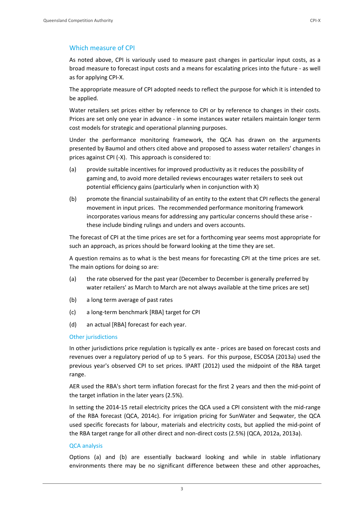# Which measure of CPI

As noted above, CPI is variously used to measure past changes in particular input costs, as a broad measure to forecast input costs and a means for escalating prices into the future ‐ as well as for applying CPI‐X.

The appropriate measure of CPI adopted needs to reflect the purpose for which it is intended to be applied.

Water retailers set prices either by reference to CPI or by reference to changes in their costs. Prices are set only one year in advance ‐ in some instances water retailers maintain longer term cost models for strategic and operational planning purposes.

Under the performance monitoring framework, the QCA has drawn on the arguments presented by Baumol and others cited above and proposed to assess water retailers' changes in prices against CPI (‐X). This approach is considered to:

- (a) provide suitable incentives for improved productivity as it reduces the possibility of gaming and, to avoid more detailed reviews encourages water retailers to seek out potential efficiency gains (particularly when in conjunction with X)
- (b) promote the financial sustainability of an entity to the extent that CPI reflects the general movement in input prices. The recommended performance monitoring framework incorporates various means for addressing any particular concerns should these arise ‐ these include binding rulings and unders and overs accounts.

The forecast of CPI at the time prices are set for a forthcoming year seems most appropriate for such an approach, as prices should be forward looking at the time they are set.

A question remains as to what is the best means for forecasting CPI at the time prices are set. The main options for doing so are:

- (a) the rate observed for the past year (December to December is generally preferred by water retailers' as March to March are not always available at the time prices are set)
- (b) a long term average of past rates
- (c) a long‐term benchmark [RBA] target for CPI
- (d) an actual [RBA] forecast for each year.

# Other jurisdictions

In other jurisdictions price regulation is typically ex ante - prices are based on forecast costs and revenues over a regulatory period of up to 5 years. For this purpose, ESCOSA (2013a) used the previous year's observed CPI to set prices. IPART (2012) used the midpoint of the RBA target range.

AER used the RBA's short term inflation forecast for the first 2 years and then the mid‐point of the target inflation in the later years (2.5%).

In setting the 2014-15 retail electricity prices the QCA used a CPI consistent with the mid-range of the RBA forecast (QCA, 2014c). For irrigation pricing for SunWater and Seqwater, the QCA used specific forecasts for labour, materials and electricity costs, but applied the mid-point of the RBA target range for all other direct and non-direct costs (2.5%) (QCA, 2012a, 2013a).

# QCA analysis

Options (a) and (b) are essentially backward looking and while in stable inflationary environments there may be no significant difference between these and other approaches,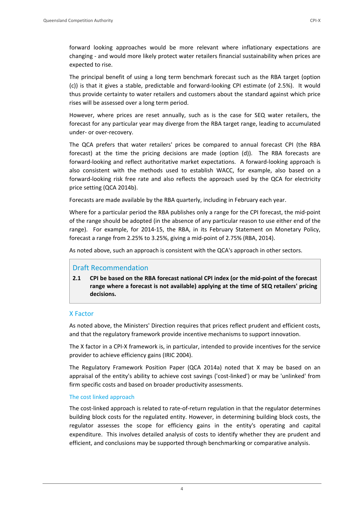forward looking approaches would be more relevant where inflationary expectations are changing ‐ and would more likely protect water retailers financial sustainability when prices are expected to rise.

The principal benefit of using a long term benchmark forecast such as the RBA target (option (c)) is that it gives a stable, predictable and forward‐looking CPI estimate (of 2.5%). It would thus provide certainty to water retailers and customers about the standard against which price rises will be assessed over a long term period.

However, where prices are reset annually, such as is the case for SEQ water retailers, the forecast for any particular year may diverge from the RBA target range, leading to accumulated under‐ or over‐recovery.

The QCA prefers that water retailers' prices be compared to annual forecast CPI (the RBA forecast) at the time the pricing decisions are made (option (d)). The RBA forecasts are forward-looking and reflect authoritative market expectations. A forward-looking approach is also consistent with the methods used to establish WACC, for example, also based on a forward‐looking risk free rate and also reflects the approach used by the QCA for electricity price setting (QCA 2014b).

Forecasts are made available by the RBA quarterly, including in February each year.

Where for a particular period the RBA publishes only a range for the CPI forecast, the mid‐point of the range should be adopted (in the absence of any particular reason to use either end of the range). For example, for 2014-15, the RBA, in its February Statement on Monetary Policy, forecast a range from 2.25% to 3.25%, giving a mid‐point of 2.75% (RBA, 2014).

As noted above, such an approach is consistent with the QCA's approach in other sectors.

# Draft Recommendation

**2.1 CPI be based on the RBA forecast national CPI index (or the mid‐point of the forecast range where a forecast is not available) applying at the time of SEQ retailers' pricing decisions.** 

# X Factor

As noted above, the Ministers' Direction requires that prices reflect prudent and efficient costs, and that the regulatory framework provide incentive mechanisms to support innovation.

The X factor in a CPI‐X framework is, in particular, intended to provide incentives for the service provider to achieve efficiency gains (IRIC 2004).

The Regulatory Framework Position Paper (QCA 2014a) noted that X may be based on an appraisal of the entity's ability to achieve cost savings ('cost-linked') or may be 'unlinked' from firm specific costs and based on broader productivity assessments.

# The cost linked approach

The cost‐linked approach is related to rate‐of‐return regulation in that the regulator determines building block costs for the regulated entity. However, in determining building block costs, the regulator assesses the scope for efficiency gains in the entity's operating and capital expenditure. This involves detailed analysis of costs to identify whether they are prudent and efficient, and conclusions may be supported through benchmarking or comparative analysis.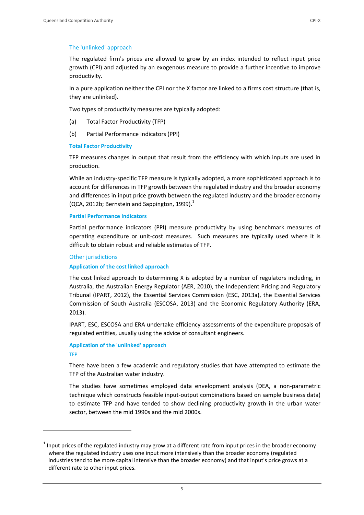#### The 'unlinked' approach

The regulated firm's prices are allowed to grow by an index intended to reflect input price growth (CPI) and adjusted by an exogenous measure to provide a further incentive to improve productivity.

In a pure application neither the CPI nor the X factor are linked to a firms cost structure (that is, they are unlinked).

Two types of productivity measures are typically adopted:

- (a) Total Factor Productivity (TFP)
- (b) Partial Performance Indicators (PPI)

#### **Total Factor Productivity**

TFP measures changes in output that result from the efficiency with which inputs are used in production.

While an industry‐specific TFP measure is typically adopted, a more sophisticated approach is to account for differences in TFP growth between the regulated industry and the broader economy and differences in input price growth between the regulated industry and the broader economy (QCA, 2012b; Bernstein and Sappington, 1999). $1$ 

#### **Partial Performance Indicators**

Partial performance indicators (PPI) measure productivity by using benchmark measures of operating expenditure or unit‐cost measures. Such measures are typically used where it is difficult to obtain robust and reliable estimates of TFP.

#### Other jurisdictions

<u> Andrew Maria (1989)</u>

#### **Application of the cost linked approach**

The cost linked approach to determining X is adopted by a number of regulators including, in Australia, the Australian Energy Regulator (AER, 2010), the Independent Pricing and Regulatory Tribunal (IPART, 2012), the Essential Services Commission (ESC, 2013a), the Essential Services Commission of South Australia (ESCOSA, 2013) and the Economic Regulatory Authority (ERA, 2013).

IPART, ESC, ESCOSA and ERA undertake efficiency assessments of the expenditure proposals of regulated entities, usually using the advice of consultant engineers.

## **Application of the 'unlinked' approach** TFP

There have been a few academic and regulatory studies that have attempted to estimate the TFP of the Australian water industry.

The studies have sometimes employed data envelopment analysis (DEA, a non‐parametric technique which constructs feasible input‐output combinations based on sample business data) to estimate TFP and have tended to show declining productivity growth in the urban water sector, between the mid 1990s and the mid 2000s.

 $1$  Input prices of the regulated industry may grow at a different rate from input prices in the broader economy where the regulated industry uses one input more intensively than the broader economy (regulated industries tend to be more capital intensive than the broader economy) and that input's price grows at a different rate to other input prices.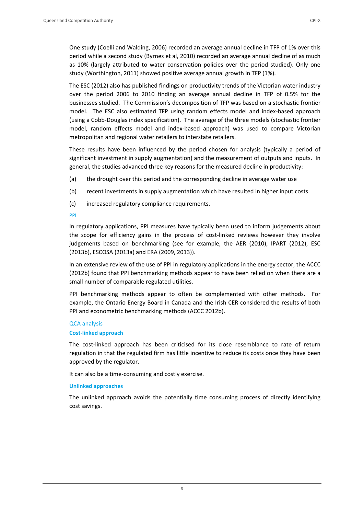One study (Coelli and Walding, 2006) recorded an average annual decline in TFP of 1% over this period while a second study (Byrnes et al, 2010) recorded an average annual decline of as much as 10% (largely attributed to water conservation policies over the period studied). Only one study (Worthington, 2011) showed positive average annual growth in TFP (1%).

The ESC (2012) also has published findings on productivity trends of the Victorian water industry over the period 2006 to 2010 finding an average annual decline in TFP of 0.5% for the businesses studied. The Commission's decomposition of TFP was based on a stochastic frontier model. The ESC also estimated TFP using random effects model and index‐based approach (using a Cobb‐Douglas index specification). The average of the three models (stochastic frontier model, random effects model and index-based approach) was used to compare Victorian metropolitan and regional water retailers to interstate retailers.

These results have been influenced by the period chosen for analysis (typically a period of significant investment in supply augmentation) and the measurement of outputs and inputs. In general, the studies advanced three key reasons for the measured decline in productivity:

- (a) the drought over this period and the corresponding decline in average water use
- (b) recent investments in supply augmentation which have resulted in higher input costs
- (c) increased regulatory compliance requirements.

PPI

In regulatory applications, PPI measures have typically been used to inform judgements about the scope for efficiency gains in the process of cost-linked reviews however they involve judgements based on benchmarking (see for example, the AER (2010), IPART (2012), ESC (2013b), ESCOSA (2013a) and ERA (2009, 2013)).

In an extensive review of the use of PPI in regulatory applications in the energy sector, the ACCC (2012b) found that PPI benchmarking methods appear to have been relied on when there are a small number of comparable regulated utilities.

PPI benchmarking methods appear to often be complemented with other methods. For example, the Ontario Energy Board in Canada and the Irish CER considered the results of both PPI and econometric benchmarking methods (ACCC 2012b).

## QCA analysis

## **Cost‐linked approach**

The cost-linked approach has been criticised for its close resemblance to rate of return regulation in that the regulated firm has little incentive to reduce its costs once they have been approved by the regulator.

It can also be a time‐consuming and costly exercise.

## **Unlinked approaches**

The unlinked approach avoids the potentially time consuming process of directly identifying cost savings.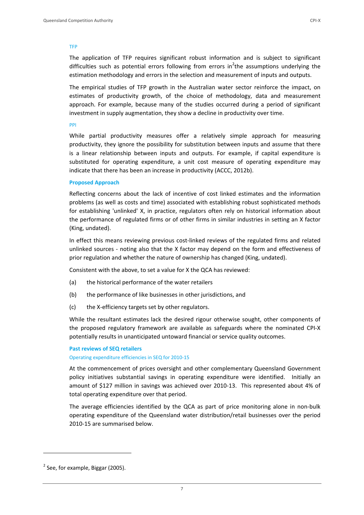#### TFP

The application of TFP requires significant robust information and is subject to significant difficulties such as potential errors following from errors in<sup>2</sup>the assumptions underlying the estimation methodology and errors in the selection and measurement of inputs and outputs.

The empirical studies of TFP growth in the Australian water sector reinforce the impact, on estimates of productivity growth, of the choice of methodology, data and measurement approach. For example, because many of the studies occurred during a period of significant investment in supply augmentation, they show a decline in productivity over time.

#### PPI

While partial productivity measures offer a relatively simple approach for measuring productivity, they ignore the possibility for substitution between inputs and assume that there is a linear relationship between inputs and outputs. For example, if capital expenditure is substituted for operating expenditure, a unit cost measure of operating expenditure may indicate that there has been an increase in productivity (ACCC, 2012b).

#### **Proposed Approach**

Reflecting concerns about the lack of incentive of cost linked estimates and the information problems (as well as costs and time) associated with establishing robust sophisticated methods for establishing 'unlinked' X, in practice, regulators often rely on historical information about the performance of regulated firms or of other firms in similar industries in setting an X factor (King, undated).

In effect this means reviewing previous cost-linked reviews of the regulated firms and related unlinked sources - noting also that the X factor may depend on the form and effectiveness of prior regulation and whether the nature of ownership has changed (King, undated).

Consistent with the above, to set a value for X the QCA has reviewed:

- (a) the historical performance of the water retailers
- (b) the performance of like businesses in other jurisdictions, and
- (c) the X‐efficiency targets set by other regulators.

While the resultant estimates lack the desired rigour otherwise sought, other components of the proposed regulatory framework are available as safeguards where the nominated CPI‐X potentially results in unanticipated untoward financial or service quality outcomes.

#### **Past reviews of SEQ retailers**

#### Operating expenditure efficiencies in SEQ for 2010‐15

At the commencement of prices oversight and other complementary Queensland Government policy initiatives substantial savings in operating expenditure were identified. Initially an amount of \$127 million in savings was achieved over 2010‐13. This represented about 4% of total operating expenditure over that period.

The average efficiencies identified by the QCA as part of price monitoring alone in non‐bulk operating expenditure of the Queensland water distribution/retail businesses over the period 2010‐15 are summarised below.

<u> Andrew Maria (1989)</u>

 $2$  See, for example, Biggar (2005).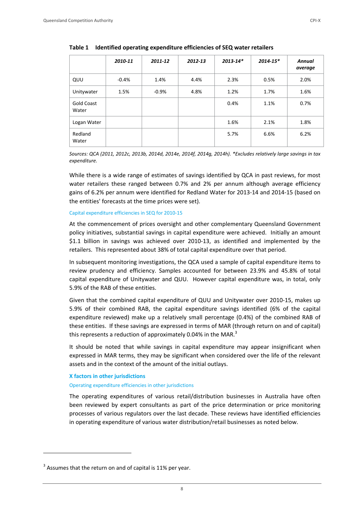|                     | 2010-11 | 2011-12 | 2012-13 | $2013 - 14*$ | $2014 - 15*$ | Annual<br>average |
|---------------------|---------|---------|---------|--------------|--------------|-------------------|
| QUU                 | $-0.4%$ | 1.4%    | 4.4%    | 2.3%         | 0.5%         | 2.0%              |
| Unitywater          | 1.5%    | $-0.9%$ | 4.8%    | 1.2%         | 1.7%         | 1.6%              |
| Gold Coast<br>Water |         |         |         | 0.4%         | 1.1%         | 0.7%              |
| Logan Water         |         |         |         | 1.6%         | 2.1%         | 1.8%              |
| Redland<br>Water    |         |         |         | 5.7%         | 6.6%         | 6.2%              |

**Table 1 Identified operating expenditure efficiencies of SEQ water retailers**

*Sources: QCA (2011, 2012c, 2013b, 2014d, 2014e, 2014f, 2014g, 2014h). \*Excludes relatively large savings in tax expenditure.* 

While there is a wide range of estimates of savings identified by QCA in past reviews, for most water retailers these ranged between 0.7% and 2% per annum although average efficiency gains of 6.2% per annum were identified for Redland Water for 2013‐14 and 2014‐15 (based on the entities' forecasts at the time prices were set).

#### Capital expenditure efficiencies in SEQ for 2010‐15

At the commencement of prices oversight and other complementary Queensland Government policy initiatives, substantial savings in capital expenditure were achieved. Initially an amount \$1.1 billion in savings was achieved over 2010‐13, as identified and implemented by the retailers. This represented about 38% of total capital expenditure over that period.

In subsequent monitoring investigations, the QCA used a sample of capital expenditure items to review prudency and efficiency. Samples accounted for between 23.9% and 45.8% of total capital expenditure of Unitywater and QUU. However capital expenditure was, in total, only 5.9% of the RAB of these entities.

Given that the combined capital expenditure of QUU and Unitywater over 2010‐15, makes up 5.9% of their combined RAB, the capital expenditure savings identified (6% of the capital expenditure reviewed) make up a relatively small percentage (0.4%) of the combined RAB of these entities. If these savings are expressed in terms of MAR (through return on and of capital) this represents a reduction of approximately 0.04% in the MAR.<sup>3</sup>

It should be noted that while savings in capital expenditure may appear insignificant when expressed in MAR terms, they may be significant when considered over the life of the relevant assets and in the context of the amount of the initial outlays.

#### **X factors in other jurisdictions**

#### Operating expenditure efficiencies in other jurisdictions

The operating expenditures of various retail/distribution businesses in Australia have often been reviewed by expert consultants as part of the price determination or price monitoring processes of various regulators over the last decade. These reviews have identified efficiencies in operating expenditure of various water distribution/retail businesses as noted below.

<u> Andrew Maria (1989)</u>

 $3$  Assumes that the return on and of capital is 11% per year.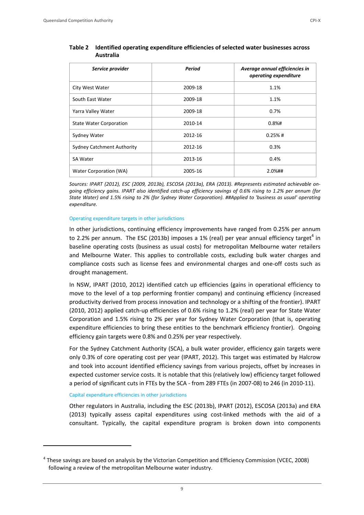| Service provider                  | Period  | Average annual efficiencies in<br>operating expenditure |
|-----------------------------------|---------|---------------------------------------------------------|
| City West Water                   | 2009-18 | 1.1%                                                    |
| South East Water                  | 2009-18 | 1.1%                                                    |
| Yarra Valley Water                | 2009-18 | 0.7%                                                    |
| <b>State Water Corporation</b>    | 2010-14 | $0.8%$ #                                                |
| Sydney Water                      | 2012-16 | $0.25%$ #                                               |
| <b>Sydney Catchment Authority</b> | 2012-16 | 0.3%                                                    |
| <b>SA Water</b>                   | 2013-16 | 0.4%                                                    |
| Water Corporation (WA)            | 2005-16 | 2.0%##                                                  |

# **Table 2 Identified operating expenditure efficiencies of selected water businesses across Australia**

*Sources: IPART (2012), ESC (2009, 2013b), ESCOSA (2013a), ERA (2013). #Represents estimated achievable on‐* going efficiency gains. IPART also identified catch-up efficiency savings of 0.6% rising to 1.2% per annum (for State Water) and 1.5% rising to 2% (for Sydney Water Corporation). ##Applied to 'business as usual' operating *expenditure.*

#### Operating expenditure targets in other jurisdictions

In other jurisdictions, continuing efficiency improvements have ranged from 0.25% per annum to 2.2% per annum. The ESC (2013b) imposes a 1% (real) per year annual efficiency target<sup>4</sup> in baseline operating costs (business as usual costs) for metropolitan Melbourne water retailers and Melbourne Water. This applies to controllable costs, excluding bulk water charges and compliance costs such as license fees and environmental charges and one‐off costs such as drought management.

In NSW, IPART (2010, 2012) identified catch up efficiencies (gains in operational efficiency to move to the level of a top performing frontier company) and continuing efficiency (increased productivity derived from process innovation and technology or a shifting of the frontier). IPART (2010, 2012) applied catch-up efficiencies of 0.6% rising to 1.2% (real) per year for State Water Corporation and 1.5% rising to 2% per year for Sydney Water Corporation (that is, operating expenditure efficiencies to bring these entities to the benchmark efficiency frontier). Ongoing efficiency gain targets were 0.8% and 0.25% per year respectively.

For the Sydney Catchment Authority (SCA), a bulk water provider, efficiency gain targets were only 0.3% of core operating cost per year (IPART, 2012). This target was estimated by Halcrow and took into account identified efficiency savings from various projects, offset by increases in expected customer service costs. It is notable that this (relatively low) efficiency target followed a period of significant cuts in FTEs by the SCA ‐ from 289 FTEs (in 2007‐08) to 246 (in 2010‐11).

#### Capital expenditure efficiencies in other jurisdictions

Other regulators in Australia, including the ESC (2013b), IPART (2012), ESCOSA (2013a) and ERA (2013) typically assess capital expenditures using cost-linked methods with the aid of a consultant. Typically, the capital expenditure program is broken down into components

<sup>4</sup> These savings are based on analysis by the Victorian Competition and Efficiency Commission (VCEC, 2008) following a review of the metropolitan Melbourne water industry.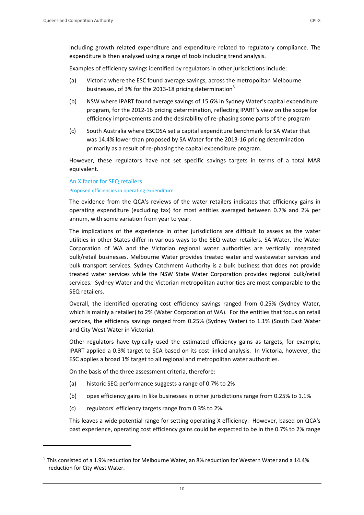Examples of efficiency savings identified by regulators in other jurisdictions include:

- (a) Victoria where the ESC found average savings, across the metropolitan Melbourne businesses, of 3% for the 2013-18 pricing determination<sup>5</sup>
- (b) NSW where IPART found average savings of 15.6% in Sydney Water's capital expenditure program, for the 2012‐16 pricing determination, reflecting IPART's view on the scope for efficiency improvements and the desirability of re‐phasing some parts of the program
- (c) South Australia where ESCOSA set a capital expenditure benchmark for SA Water that was 14.4% lower than proposed by SA Water for the 2013‐16 pricing determination primarily as a result of re‐phasing the capital expenditure program.

However, these regulators have not set specific savings targets in terms of a total MAR equivalent.

# An X factor for SEQ retailers Proposed efficiencies in operating expenditure

The evidence from the QCA's reviews of the water retailers indicates that efficiency gains in operating expenditure (excluding tax) for most entities averaged between 0.7% and 2% per annum, with some variation from year to year.

The implications of the experience in other jurisdictions are difficult to assess as the water utilities in other States differ in various ways to the SEQ water retailers. SA Water, the Water Corporation of WA and the Victorian regional water authorities are vertically integrated bulk/retail businesses. Melbourne Water provides treated water and wastewater services and bulk transport services. Sydney Catchment Authority is a bulk business that does not provide treated water services while the NSW State Water Corporation provides regional bulk/retail services. Sydney Water and the Victorian metropolitan authorities are most comparable to the SEQ retailers.

Overall, the identified operating cost efficiency savings ranged from 0.25% (Sydney Water, which is mainly a retailer) to 2% (Water Corporation of WA). For the entities that focus on retail services, the efficiency savings ranged from 0.25% (Sydney Water) to 1.1% (South East Water and City West Water in Victoria).

Other regulators have typically used the estimated efficiency gains as targets, for example, IPART applied a 0.3% target to SCA based on its cost-linked analysis. In Victoria, however, the ESC applies a broad 1% target to all regional and metropolitan water authorities.

On the basis of the three assessment criteria, therefore:

- (a) historic SEQ performance suggests a range of 0.7% to 2%
- (b) opex efficiency gains in like businesses in other jurisdictions range from 0.25% to 1.1%
- (c) regulators' efficiency targets range from 0.3% to 2%.

This leaves a wide potential range for setting operating X efficiency. However, based on QCA's past experience, operating cost efficiency gains could be expected to be in the 0.7% to 2% range

10

 $^5$  This consisted of a 1.9% reduction for Melbourne Water, an 8% reduction for Western Water and a 14.4% reduction for City West Water.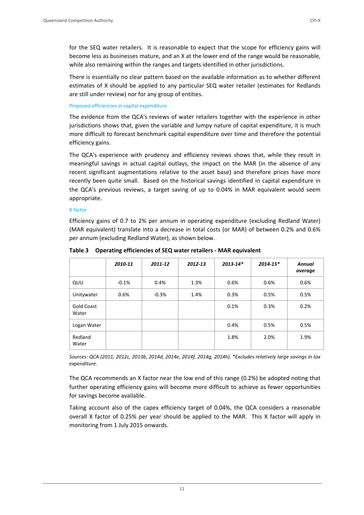for the SEQ water retailers. It is reasonable to expect that the scope for efficiency gains will become less as businesses mature, and an X at the lower end of the range would be reasonable, while also remaining within the ranges and targets identified in other jurisdictions.

There is essentially no clear pattern based on the available information as to whether different estimates of X should be applied to any particular SEQ water retailer (estimates for Redlands are still under review) nor for any group of entities.

# Proposed efficiencies in capital expenditure

The evidence from the QCA's reviews of water retailers together with the experience in other jurisdictions shows that, given the variable and lumpy nature of capital expenditure, it is much more difficult to forecast benchmark capital expenditure over time and therefore the potential efficiency gains.

The QCA's experience with prudency and efficiency reviews shows that, while they result in meaningful savings in actual capital outlays, the impact on the MAR (in the absence of any recent significant augmentations relative to the asset base) and therefore prices have more recently been quite small. Based on the historical savings identified in capital expenditure in the QCA's previous reviews, a target saving of up to 0.04% in MAR equivalent would seem appropriate.

# X factor

Efficiency gains of 0.7 to 2% per annum in operating expenditure (excluding Redland Water) (MAR equivalent) translate into a decrease in total costs (or MAR) of between 0.2% and 0.6% per annum (excluding Redland Water), as shown below.

|                            | 2010-11 | 2011-12 | 2012-13 | $2013 - 14*$ | $2014 - 15*$ | <b>Annual</b><br>average |
|----------------------------|---------|---------|---------|--------------|--------------|--------------------------|
| QUU                        | $-0.1%$ | 0.4%    | 1.3%    | 0.6%         | 0.6%         | 0.6%                     |
| Unitywater                 | 0.6%    | $-0.3%$ | 1.4%    | 0.3%         | 0.5%         | 0.5%                     |
| <b>Gold Coast</b><br>Water |         |         |         | 0.1%         | 0.3%         | 0.2%                     |
| Logan Water                |         |         |         | 0.4%         | 0.5%         | 0.5%                     |
| Redland<br>Water           |         |         |         | 1.8%         | 2.0%         | 1.9%                     |

**Table 3 Operating efficiencies of SEQ water retailers ‐ MAR equivalent**

*Sources: QCA (2011, 2012c, 2013b, 2014d, 2014e, 2014f, 2014g, 2014h). \*Excludes relatively large savings in tax expenditure.* 

The QCA recommends an X factor near the low end of this range (0.2%) be adopted noting that further operating efficiency gains will become more difficult to achieve as fewer opportunities for savings become available.

Taking account also of the capex efficiency target of 0.04%, the QCA considers a reasonable overall X factor of 0.25% per year should be applied to the MAR. This X factor will apply in monitoring from 1 July 2015 onwards.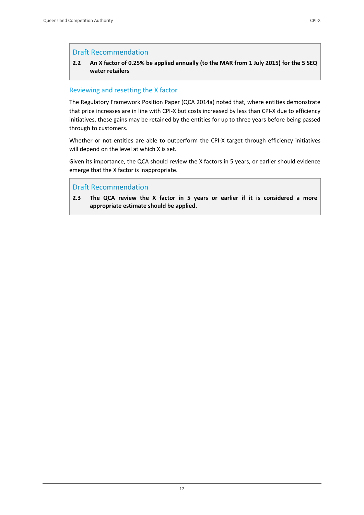# Draft Recommendation

# 2.2 An X factor of 0.25% be applied annually (to the MAR from 1 July 2015) for the 5 SEQ **water retailers**

# Reviewing and resetting the X factor

The Regulatory Framework Position Paper (QCA 2014a) noted that, where entities demonstrate that price increases are in line with CPI‐X but costs increased by less than CPI‐X due to efficiency initiatives, these gains may be retained by the entities for up to three years before being passed through to customers.

Whether or not entities are able to outperform the CPI-X target through efficiency initiatives will depend on the level at which X is set.

Given its importance, the QCA should review the X factors in 5 years, or earlier should evidence emerge that the X factor is inappropriate.

# Draft Recommendation

**2.3 The QCA review the X factor in 5 years or earlier if it is considered a more appropriate estimate should be applied.**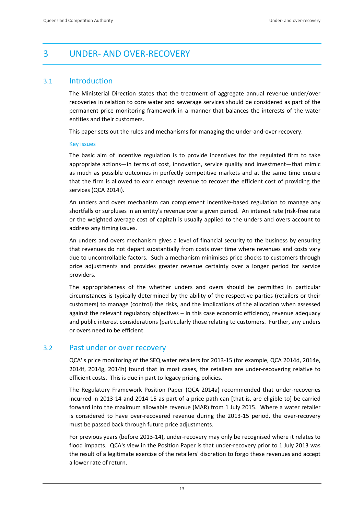# 3 UNDER‐ AND OVER‐RECOVERY

# 3.1 Introduction

The Ministerial Direction states that the treatment of aggregate annual revenue under/over recoveries in relation to core water and sewerage services should be considered as part of the permanent price monitoring framework in a manner that balances the interests of the water entities and their customers.

This paper sets out the rules and mechanisms for managing the under‐and‐over recovery.

#### Key issues

The basic aim of incentive regulation is to provide incentives for the regulated firm to take appropriate actions—in terms of cost, innovation, service quality and investment—that mimic as much as possible outcomes in perfectly competitive markets and at the same time ensure that the firm is allowed to earn enough revenue to recover the efficient cost of providing the services (QCA 2014i).

An unders and overs mechanism can complement incentive‐based regulation to manage any shortfalls or surpluses in an entity's revenue over a given period. An interest rate (risk‐free rate or the weighted average cost of capital) is usually applied to the unders and overs account to address any timing issues.

An unders and overs mechanism gives a level of financial security to the business by ensuring that revenues do not depart substantially from costs over time where revenues and costs vary due to uncontrollable factors. Such a mechanism minimises price shocks to customers through price adjustments and provides greater revenue certainty over a longer period for service providers.

The appropriateness of the whether unders and overs should be permitted in particular circumstances is typically determined by the ability of the respective parties (retailers or their customers) to manage (control) the risks, and the implications of the allocation when assessed against the relevant regulatory objectives – in this case economic efficiency, revenue adequacy and public interest considerations (particularly those relating to customers. Further, any unders or overs need to be efficient.

# 3.2 Past under or over recovery

QCA' s price monitoring of the SEQ water retailers for 2013‐15 (for example, QCA 2014d, 2014e, 2014f, 2014g, 2014h) found that in most cases, the retailers are under‐recovering relative to efficient costs. This is due in part to legacy pricing policies.

The Regulatory Framework Position Paper (QCA 2014a) recommended that under‐recoveries incurred in 2013‐14 and 2014‐15 as part of a price path can [that is, are eligible to] be carried forward into the maximum allowable revenue (MAR) from 1 July 2015. Where a water retailer is considered to have over-recovered revenue during the 2013-15 period, the over-recovery must be passed back through future price adjustments.

For previous years (before 2013‐14), under‐recovery may only be recognised where it relates to flood impacts. QCA's view in the Position Paper is that under-recovery prior to 1 July 2013 was the result of a legitimate exercise of the retailers' discretion to forgo these revenues and accept a lower rate of return.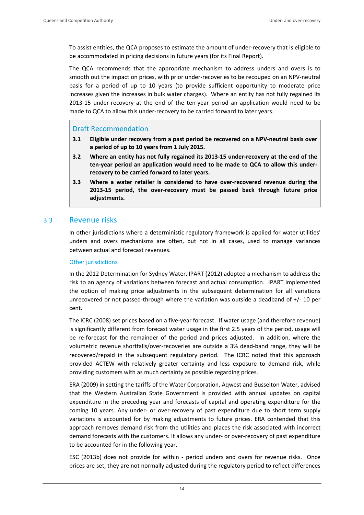To assist entities, the QCA proposes to estimate the amount of under‐recovery that is eligible to be accommodated in pricing decisions in future years (for its Final Report).

The QCA recommends that the appropriate mechanism to address unders and overs is to smooth out the impact on prices, with prior under-recoveries to be recouped on an NPV-neutral basis for a period of up to 10 years (to provide sufficient opportunity to moderate price increases given the increases in bulk water charges). Where an entity has not fully regained its 2013-15 under-recovery at the end of the ten-year period an application would need to be made to QCA to allow this under-recovery to be carried forward to later years.

# Draft Recommendation

- **3.1 Eligible under recovery from a past period be recovered on a NPV‐neutral basis over a period of up to 10 years from 1 July 2015.**
- 3.2 Where an entity has not fully regained its 2013-15 under-recovery at the end of the **ten‐year period an application would need to be made to QCA to allow this under‐ recovery to be carried forward to later years.**
- **3.3 Where a water retailer is considered to have over‐recovered revenue during the 2013‐15 period, the over‐recovery must be passed back through future price adjustments.**

# 3.3 Revenue risks

In other jurisdictions where a deterministic regulatory framework is applied for water utilities' unders and overs mechanisms are often, but not in all cases, used to manage variances between actual and forecast revenues.

## Other jurisdictions

In the 2012 Determination for Sydney Water, IPART (2012) adopted a mechanism to address the risk to an agency of variations between forecast and actual consumption. IPART implemented the option of making price adjustments in the subsequent determination for all variations unrecovered or not passed-through where the variation was outside a deadband of  $+/-10$  per cent.

The ICRC (2008) set prices based on a five‐year forecast. If water usage (and therefore revenue) is significantly different from forecast water usage in the first 2.5 years of the period, usage will be re-forecast for the remainder of the period and prices adjusted. In addition, where the volumetric revenue shortfalls/over‐recoveries are outside a 3% dead‐band range, they will be recovered/repaid in the subsequent regulatory period. The ICRC noted that this approach provided ACTEW with relatively greater certainty and less exposure to demand risk, while providing customers with as much certainty as possible regarding prices.

ERA (2009) in setting the tariffs of the Water Corporation, Aqwest and Busselton Water, advised that the Western Australian State Government is provided with annual updates on capital expenditure in the preceding year and forecasts of capital and operating expenditure for the coming 10 years. Any under- or over-recovery of past expenditure due to short term supply variations is accounted for by making adjustments to future prices. ERA contended that this approach removes demand risk from the utilities and places the risk associated with incorrect demand forecasts with the customers. It allows any under‐ or over‐recovery of past expenditure to be accounted for in the following year.

ESC (2013b) does not provide for within - period unders and overs for revenue risks. Once prices are set, they are not normally adjusted during the regulatory period to reflect differences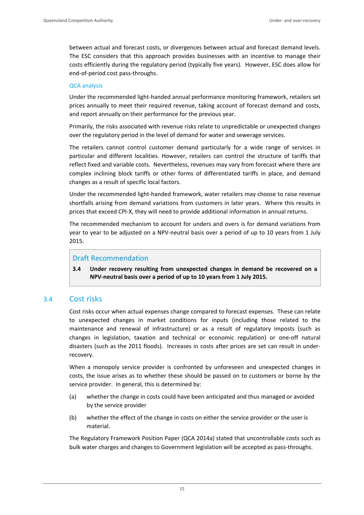between actual and forecast costs, or divergences between actual and forecast demand levels. The ESC considers that this approach provides businesses with an incentive to manage their costs efficiently during the regulatory period (typically five years). However, ESC does allow for end‐of‐period cost pass‐throughs.

#### QCA analysis

Under the recommended light‐handed annual performance monitoring framework, retailers set prices annually to meet their required revenue, taking account of forecast demand and costs, and report annually on their performance for the previous year.

Primarily, the risks associated with revenue risks relate to unpredictable or unexpected changes over the regulatory period in the level of demand for water and sewerage services.

The retailers cannot control customer demand particularly for a wide range of services in particular and different localities. However, retailers can control the structure of tariffs that reflect fixed and variable costs. Nevertheless, revenues may vary from forecast where there are complex inclining block tariffs or other forms of differentiated tariffs in place, and demand changes as a result of specific local factors.

Under the recommended light‐handed framework, water retailers may choose to raise revenue shortfalls arising from demand variations from customers in later years. Where this results in prices that exceed CPI‐X, they will need to provide additional information in annual returns.

The recommended mechanism to account for unders and overs is for demand variations from year to year to be adjusted on a NPV-neutral basis over a period of up to 10 years from 1 July 2015.

# Draft Recommendation

**3.4 Under recovery resulting from unexpected changes in demand be recovered on a NPV‐neutral basis over a period of up to 10 years from 1 July 2015.** 

# 3.4 Cost risks

Cost risks occur when actual expenses change compared to forecast expenses. These can relate to unexpected changes in market conditions for inputs (including those related to the maintenance and renewal of infrastructure) or as a result of regulatory imposts (such as changes in legislation, taxation and technical or economic regulation) or one‐off natural disasters (such as the 2011 floods). Increases in costs after prices are set can result in under‐ recovery.

When a monopoly service provider is confronted by unforeseen and unexpected changes in costs, the issue arises as to whether these should be passed on to customers or borne by the service provider. In general, this is determined by:

- (a) whether the change in costs could have been anticipated and thus managed or avoided by the service provider
- (b) whether the effect of the change in costs on either the service provider or the user is material.

The Regulatory Framework Position Paper (QCA 2014a) stated that uncontrollable costs such as bulk water charges and changes to Government legislation will be accepted as pass-throughs.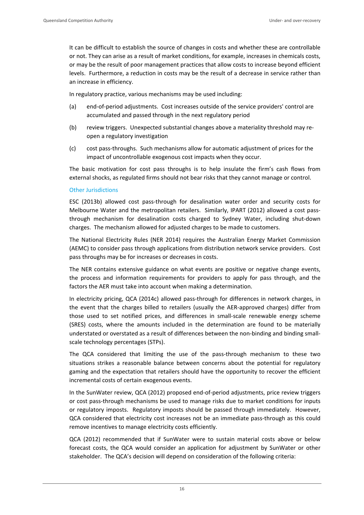It can be difficult to establish the source of changes in costs and whether these are controllable or not. They can arise as a result of market conditions, for example, increases in chemicals costs, or may be the result of poor management practices that allow costs to increase beyond efficient levels. Furthermore, a reduction in costs may be the result of a decrease in service rather than an increase in efficiency.

In regulatory practice, various mechanisms may be used including:

- (a) end‐of‐period adjustments. Cost increases outside of the service providers' control are accumulated and passed through in the next regulatory period
- (b) review triggers. Unexpected substantial changes above a materiality threshold may re‐ open a regulatory investigation
- (c) cost pass‐throughs. Such mechanisms allow for automatic adjustment of prices for the impact of uncontrollable exogenous cost impacts when they occur.

The basic motivation for cost pass throughs is to help insulate the firm's cash flows from external shocks, as regulated firms should not bear risks that they cannot manage or control.

#### Other Jurisdictions

ESC (2013b) allowed cost pass‐through for desalination water order and security costs for Melbourne Water and the metropolitan retailers. Similarly, IPART (2012) allowed a cost passthrough mechanism for desalination costs charged to Sydney Water, including shut‐down charges. The mechanism allowed for adjusted charges to be made to customers.

The National Electricity Rules (NER 2014) requires the Australian Energy Market Commission (AEMC) to consider pass through applications from distribution network service providers. Cost pass throughs may be for increases or decreases in costs.

The NER contains extensive guidance on what events are positive or negative change events, the process and information requirements for providers to apply for pass through, and the factors the AER must take into account when making a determination.

In electricity pricing, QCA (2014c) allowed pass‐through for differences in network charges, in the event that the charges billed to retailers (usually the AER‐approved charges) differ from those used to set notified prices, and differences in small‐scale renewable energy scheme (SRES) costs, where the amounts included in the determination are found to be materially understated or overstated as a result of differences between the non‐binding and binding small‐ scale technology percentages (STPs).

The QCA considered that limiting the use of the pass-through mechanism to these two situations strikes a reasonable balance between concerns about the potential for regulatory gaming and the expectation that retailers should have the opportunity to recover the efficient incremental costs of certain exogenous events.

In the SunWater review, QCA (2012) proposed end‐of‐period adjustments, price review triggers or cost pass‐through mechanisms be used to manage risks due to market conditions for inputs or regulatory imposts. Regulatory imposts should be passed through immediately. However, QCA considered that electricity cost increases not be an immediate pass‐through as this could remove incentives to manage electricity costs efficiently.

QCA (2012) recommended that if SunWater were to sustain material costs above or below forecast costs, the QCA would consider an application for adjustment by SunWater or other stakeholder. The QCA's decision will depend on consideration of the following criteria: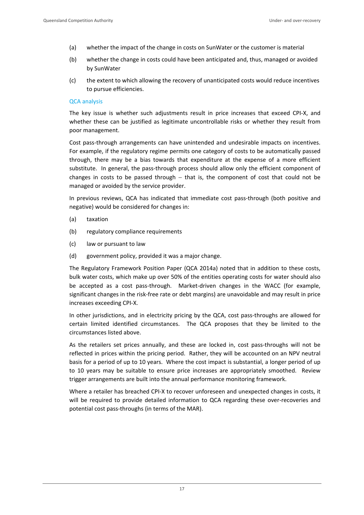- (a) whether the impact of the change in costs on SunWater or the customer is material
- (b) whether the change in costs could have been anticipated and, thus, managed or avoided by SunWater
- (c) the extent to which allowing the recovery of unanticipated costs would reduce incentives to pursue efficiencies.

#### QCA analysis

The key issue is whether such adjustments result in price increases that exceed CPI‐X, and whether these can be justified as legitimate uncontrollable risks or whether they result from poor management.

Cost pass‐through arrangements can have unintended and undesirable impacts on incentives. For example, if the regulatory regime permits one category of costs to be automatically passed through, there may be a bias towards that expenditure at the expense of a more efficient substitute. In general, the pass-through process should allow only the efficient component of changes in costs to be passed through  $-$  that is, the component of cost that could not be managed or avoided by the service provider.

In previous reviews, QCA has indicated that immediate cost pass-through (both positive and negative) would be considered for changes in:

- (a) taxation
- (b) regulatory compliance requirements
- (c) law or pursuant to law
- (d) government policy, provided it was a major change.

The Regulatory Framework Position Paper (QCA 2014a) noted that in addition to these costs, bulk water costs, which make up over 50% of the entities operating costs for water should also be accepted as a cost pass-through. Market-driven changes in the WACC (for example, significant changes in the risk‐free rate or debt margins) are unavoidable and may result in price increases exceeding CPI‐X.

In other jurisdictions, and in electricity pricing by the QCA, cost pass-throughs are allowed for certain limited identified circumstances. The QCA proposes that they be limited to the circumstances listed above.

As the retailers set prices annually, and these are locked in, cost pass-throughs will not be reflected in prices within the pricing period. Rather, they will be accounted on an NPV neutral basis for a period of up to 10 years. Where the cost impact is substantial, a longer period of up to 10 years may be suitable to ensure price increases are appropriately smoothed. Review trigger arrangements are built into the annual performance monitoring framework.

Where a retailer has breached CPI-X to recover unforeseen and unexpected changes in costs, it will be required to provide detailed information to QCA regarding these over-recoveries and potential cost pass‐throughs (in terms of the MAR).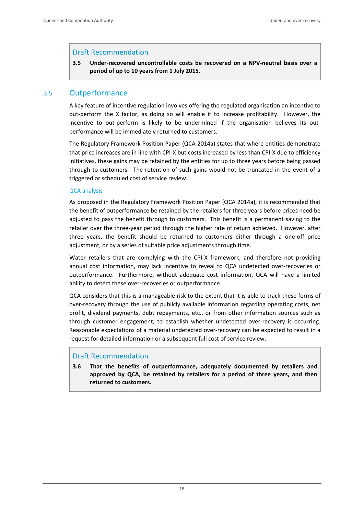# Draft Recommendation

**3.5 Under‐recovered uncontrollable costs be recovered on a NPV‐neutral basis over a period of up to 10 years from 1 July 2015.** 

# 3.5 Outperformance

A key feature of incentive regulation involves offering the regulated organisation an incentive to out-perform the X factor, as doing so will enable it to increase profitability. However, the incentive to out-perform is likely to be undermined if the organisation believes its outperformance will be immediately returned to customers.

The Regulatory Framework Position Paper (QCA 2014a) states that where entities demonstrate that price increases are in line with CPI‐X but costs increased by less than CPI‐X due to efficiency initiatives, these gains may be retained by the entities for up to three years before being passed through to customers. The retention of such gains would not be truncated in the event of a triggered or scheduled cost of service review.

#### QCA analysis

As proposed in the Regulatory Framework Position Paper (QCA 2014a), it is recommended that the benefit of outperformance be retained by the retailers for three years before prices need be adjusted to pass the benefit through to customers. This benefit is a permanent saving to the retailer over the three‐year period through the higher rate of return achieved. However, after three years, the benefit should be returned to customers either through a one‐off price adjustment, or by a series of suitable price adjustments through time.

Water retailers that are complying with the CPI-X framework, and therefore not providing annual cost information, may lack incentive to reveal to QCA undetected over‐recoveries or outperformance. Furthermore, without adequate cost information, QCA will have a limited ability to detect these over‐recoveries or outperformance.

QCA considers that this is a manageable risk to the extent that it is able to track these forms of over-recovery through the use of publicly available information regarding operating costs, net profit, dividend payments, debt repayments, etc., or from other information sources such as through customer engagement, to establish whether undetected over‐recovery is occurring. Reasonable expectations of a material undetected over-recovery can be expected to result in a request for detailed information or a subsequent full cost of service review.

# Draft Recommendation

**3.6 That the benefits of outperformance, adequately documented by retailers and approved by QCA, be retained by retailers for a period of three years, and then returned to customers.**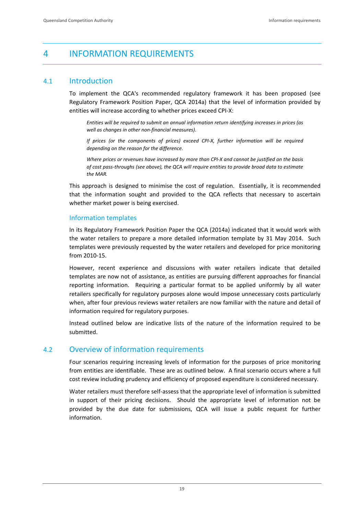# 4 INFORMATION REQUIREMENTS

# 4.1 Introduction

To implement the QCA's recommended regulatory framework it has been proposed (see Regulatory Framework Position Paper, QCA 2014a) that the level of information provided by entities will increase according to whether prices exceed CPI‐X:

*Entities will be required to submit an annual information return identifying increases in prices (as well as changes in other non‐financial measures).* 

*If prices (or the components of prices) exceed CPI‐X, further information will be required depending on the reason for the difference.*

Where prices or revenues have increased by more than CPI-X and cannot be justified on the basis *of cost pass‐throughs (see above), the QCA will require entities to provide broad data to estimate the MAR.*

This approach is designed to minimise the cost of regulation. Essentially, it is recommended that the information sought and provided to the QCA reflects that necessary to ascertain whether market power is being exercised.

# Information templates

In its Regulatory Framework Position Paper the QCA (2014a) indicated that it would work with the water retailers to prepare a more detailed information template by 31 May 2014. Such templates were previously requested by the water retailers and developed for price monitoring from 2010‐15.

However, recent experience and discussions with water retailers indicate that detailed templates are now not of assistance, as entities are pursuing different approaches for financial reporting information. Requiring a particular format to be applied uniformly by all water retailers specifically for regulatory purposes alone would impose unnecessary costs particularly when, after four previous reviews water retailers are now familiar with the nature and detail of information required for regulatory purposes.

Instead outlined below are indicative lists of the nature of the information required to be submitted.

# 4.2 Overview of information requirements

Four scenarios requiring increasing levels of information for the purposes of price monitoring from entities are identifiable. These are as outlined below. A final scenario occurs where a full cost review including prudency and efficiency of proposed expenditure is considered necessary.

Water retailers must therefore self‐assess that the appropriate level of information is submitted in support of their pricing decisions. Should the appropriate level of information not be provided by the due date for submissions, QCA will issue a public request for further information.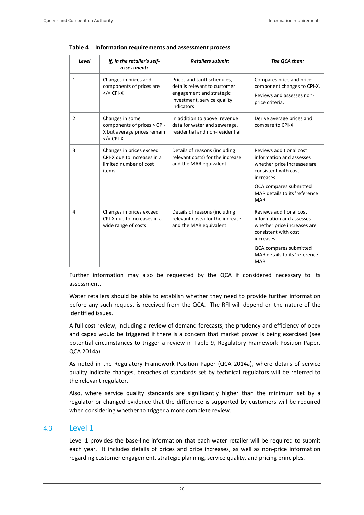| Level        | If, in the retailer's self-<br>assessment:                                                    | <b>Retailers submit:</b>                                                                                                              | The QCA then:                                                                                                                                                                               |
|--------------|-----------------------------------------------------------------------------------------------|---------------------------------------------------------------------------------------------------------------------------------------|---------------------------------------------------------------------------------------------------------------------------------------------------------------------------------------------|
| $\mathbf{1}$ | Changes in prices and<br>components of prices are<br>$\langle$ = CPI-X                        | Prices and tariff schedules,<br>details relevant to customer<br>engagement and strategic<br>investment, service quality<br>indicators | Compares price and price<br>component changes to CPI-X.<br>Reviews and assesses non-<br>price criteria.                                                                                     |
| 2            | Changes in some<br>components of prices > CPI-<br>X but average prices remain<br>$<$ /= CPI-X | In addition to above, revenue<br>data for water and sewerage,<br>residential and non-residential                                      | Derive average prices and<br>compare to CPI-X                                                                                                                                               |
| 3            | Changes in prices exceed<br>CPI-X due to increases in a<br>limited number of cost<br>items    | Details of reasons (including<br>relevant costs) for the increase<br>and the MAR equivalent                                           | Reviews additional cost<br>information and assesses<br>whether price increases are<br>consistent with cost<br>increases.<br>QCA compares submitted<br>MAR details to its 'reference<br>MAR' |
| 4            | Changes in prices exceed<br>CPI-X due to increases in a<br>wide range of costs                | Details of reasons (including<br>relevant costs) for the increase<br>and the MAR equivalent                                           | Reviews additional cost<br>information and assesses<br>whether price increases are<br>consistent with cost<br>increases.<br>QCA compares submitted<br>MAR details to its 'reference<br>MAR' |

|  | Table 4 Information requirements and assessment process |  |  |
|--|---------------------------------------------------------|--|--|
|  |                                                         |  |  |

Further information may also be requested by the QCA if considered necessary to its assessment.

Water retailers should be able to establish whether they need to provide further information before any such request is received from the QCA. The RFI will depend on the nature of the identified issues.

A full cost review, including a review of demand forecasts, the prudency and efficiency of opex and capex would be triggered if there is a concern that market power is being exercised (see potential circumstances to trigger a review in Table 9, Regulatory Framework Position Paper, QCA 2014a).

As noted in the Regulatory Framework Position Paper (QCA 2014a), where details of service quality indicate changes, breaches of standards set by technical regulators will be referred to the relevant regulator.

Also, where service quality standards are significantly higher than the minimum set by a regulator or changed evidence that the difference is supported by customers will be required when considering whether to trigger a more complete review.

# 4.3 Level 1

Level 1 provides the base-line information that each water retailer will be required to submit each year. It includes details of prices and price increases, as well as non-price information regarding customer engagement, strategic planning, service quality, and pricing principles.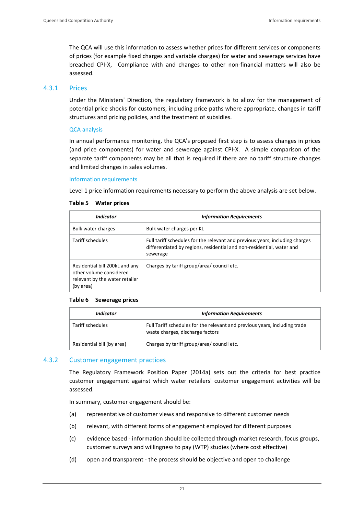The QCA will use this information to assess whether prices for different services or components of prices (for example fixed charges and variable charges) for water and sewerage services have breached CPI-X, Compliance with and changes to other non-financial matters will also be assessed.

## 4.3.1 Prices

Under the Ministers' Direction, the regulatory framework is to allow for the management of potential price shocks for customers, including price paths where appropriate, changes in tariff structures and pricing policies, and the treatment of subsidies.

#### QCA analysis

In annual performance monitoring, the QCA's proposed first step is to assess changes in prices (and price components) for water and sewerage against CPI‐X. A simple comparison of the separate tariff components may be all that is required if there are no tariff structure changes and limited changes in sales volumes.

#### Information requirements

Level 1 price information requirements necessary to perform the above analysis are set below.

#### **Table 5 Water prices**

| <i><u><b>Indicator</b></u></i>                                                                           | <b>Information Requirements</b>                                                                                                                                   |
|----------------------------------------------------------------------------------------------------------|-------------------------------------------------------------------------------------------------------------------------------------------------------------------|
| Bulk water charges                                                                                       | Bulk water charges per KL                                                                                                                                         |
| Tariff schedules                                                                                         | Full tariff schedules for the relevant and previous years, including charges<br>differentiated by regions, residential and non-residential, water and<br>sewerage |
| Residential bill 200kL and any<br>other volume considered<br>relevant by the water retailer<br>(by area) | Charges by tariff group/area/ council etc.                                                                                                                        |

#### **Table 6 Sewerage prices**

| Indicator                  | <b>Information Requirements</b>                                                                                |
|----------------------------|----------------------------------------------------------------------------------------------------------------|
| Tariff schedules           | Full Tariff schedules for the relevant and previous years, including trade<br>waste charges, discharge factors |
| Residential bill (by area) | Charges by tariff group/area/ council etc.                                                                     |

## 4.3.2 Customer engagement practices

The Regulatory Framework Position Paper (2014a) sets out the criteria for best practice customer engagement against which water retailers' customer engagement activities will be assessed.

In summary, customer engagement should be:

- (a) representative of customer views and responsive to different customer needs
- (b) relevant, with different forms of engagement employed for different purposes
- (c) evidence based ‐ information should be collected through market research, focus groups, customer surveys and willingness to pay (WTP) studies (where cost effective)
- (d) open and transparent ‐ the process should be objective and open to challenge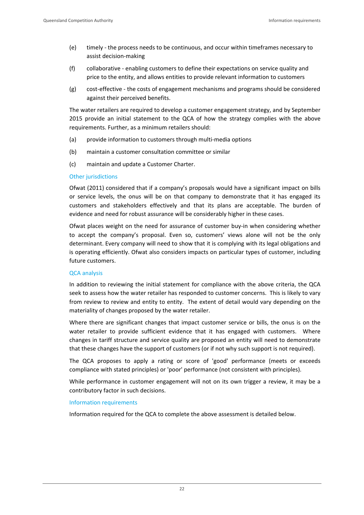- (e) timely ‐ the process needs to be continuous, and occur within timeframes necessary to assist decision‐making
- (f) collaborative ‐ enabling customers to define their expectations on service quality and price to the entity, and allows entities to provide relevant information to customers
- (g) cost‐effective ‐ the costs of engagement mechanisms and programs should be considered against their perceived benefits.

The water retailers are required to develop a customer engagement strategy, and by September 2015 provide an initial statement to the QCA of how the strategy complies with the above requirements. Further, as a minimum retailers should:

- (a) provide information to customers through multi‐media options
- (b) maintain a customer consultation committee or similar
- (c) maintain and update a Customer Charter.

#### Other jurisdictions

Ofwat (2011) considered that if a company's proposals would have a significant impact on bills or service levels, the onus will be on that company to demonstrate that it has engaged its customers and stakeholders effectively and that its plans are acceptable. The burden of evidence and need for robust assurance will be considerably higher in these cases.

Ofwat places weight on the need for assurance of customer buy‐in when considering whether to accept the company's proposal. Even so, customers' views alone will not be the only determinant. Every company will need to show that it is complying with its legal obligations and is operating efficiently. Ofwat also considers impacts on particular types of customer, including future customers.

#### QCA analysis

In addition to reviewing the initial statement for compliance with the above criteria, the QCA seek to assess how the water retailer has responded to customer concerns. This is likely to vary from review to review and entity to entity. The extent of detail would vary depending on the materiality of changes proposed by the water retailer.

Where there are significant changes that impact customer service or bills, the onus is on the water retailer to provide sufficient evidence that it has engaged with customers. Where changes in tariff structure and service quality are proposed an entity will need to demonstrate that these changes have the support of customers (or if not why such support is not required).

The QCA proposes to apply a rating or score of 'good' performance (meets or exceeds compliance with stated principles) or 'poor' performance (not consistent with principles).

While performance in customer engagement will not on its own trigger a review, it may be a contributory factor in such decisions.

#### Information requirements

Information required for the QCA to complete the above assessment is detailed below.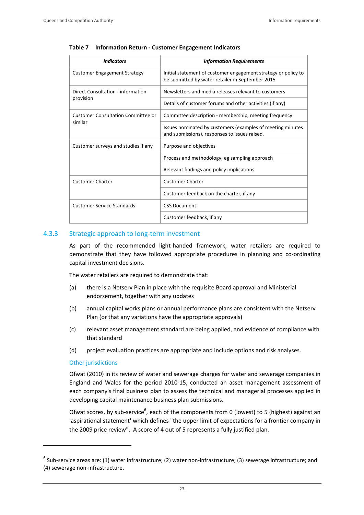| <b>Indicators</b>                         | <b>Information Requirements</b>                                                                                    |
|-------------------------------------------|--------------------------------------------------------------------------------------------------------------------|
| <b>Customer Engagement Strategy</b>       | Initial statement of customer engagement strategy or policy to<br>be submitted by water retailer in September 2015 |
| Direct Consultation - information         | Newsletters and media releases relevant to customers                                                               |
| provision                                 | Details of customer forums and other activities (if any)                                                           |
| <b>Customer Consultation Committee or</b> | Committee description - membership, meeting frequency                                                              |
| similar                                   | Issues nominated by customers (examples of meeting minutes<br>and submissions), responses to issues raised.        |
| Customer surveys and studies if any       | Purpose and objectives                                                                                             |
|                                           | Process and methodology, eg sampling approach                                                                      |
|                                           | Relevant findings and policy implications                                                                          |
| <b>Customer Charter</b>                   | <b>Customer Charter</b>                                                                                            |
|                                           | Customer feedback on the charter, if any                                                                           |
| <b>Customer Service Standards</b>         | <b>CSS Document</b>                                                                                                |
|                                           | Customer feedback, if any                                                                                          |

#### **Table 7 Information Return ‐ Customer Engagement Indicators**

#### 4.3.3 Strategic approach to long-term investment

As part of the recommended light‐handed framework, water retailers are required to demonstrate that they have followed appropriate procedures in planning and co-ordinating capital investment decisions.

The water retailers are required to demonstrate that:

- (a) there is a Netserv Plan in place with the requisite Board approval and Ministerial endorsement, together with any updates
- (b) annual capital works plans or annual performance plans are consistent with the Netserv Plan (or that any variations have the appropriate approvals)
- (c) relevant asset management standard are being applied, and evidence of compliance with that standard
- (d) project evaluation practices are appropriate and include options and risk analyses.

#### Other jurisdictions

<u> Andrew Maria (1989)</u>

Ofwat (2010) in its review of water and sewerage charges for water and sewerage companies in England and Wales for the period 2010‐15, conducted an asset management assessment of each company's final business plan to assess the technical and managerial processes applied in developing capital maintenance business plan submissions.

Ofwat scores, by sub-service<sup>6</sup>, each of the components from 0 (lowest) to 5 (highest) against an 'aspirational statement' which defines "the upper limit of expectations for a frontier company in the 2009 price review". A score of 4 out of 5 represents a fully justified plan.

 $6$  Sub-service areas are: (1) water infrastructure; (2) water non-infrastructure; (3) sewerage infrastructure; and (4) sewerage non‐infrastructure.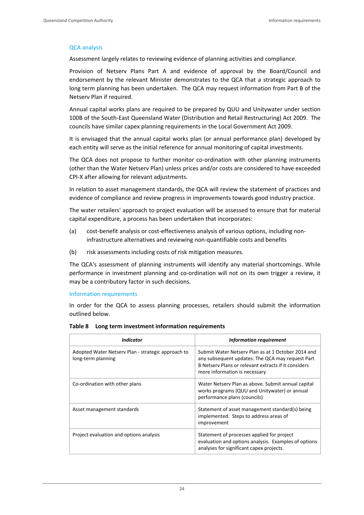#### QCA analysis

Assessment largely relates to reviewing evidence of planning activities and compliance.

Provision of Netserv Plans Part A and evidence of approval by the Board/Council and endorsement by the relevant Minister demonstrates to the QCA that a strategic approach to long term planning has been undertaken. The QCA may request information from Part B of the Netserv Plan if required.

Annual capital works plans are required to be prepared by QUU and Unitywater under section 100B of the South‐East Queensland Water (Distribution and Retail Restructuring) Act 2009. The councils have similar capex planning requirements in the Local Government Act 2009.

It is envisaged that the annual capital works plan (or annual performance plan) developed by each entity will serve as the initial reference for annual monitoring of capital investments.

The QCA does not propose to further monitor co-ordination with other planning instruments (other than the Water Netserv Plan) unless prices and/or costs are considered to have exceeded CPI‐X after allowing for relevant adjustments.

In relation to asset management standards, the QCA will review the statement of practices and evidence of compliance and review progress in improvements towards good industry practice.

The water retailers' approach to project evaluation will be assessed to ensure that for material capital expenditure, a process has been undertaken that incorporates:

- (a) cost-benefit analysis or cost-effectiveness analysis of various options, including noninfrastructure alternatives and reviewing non‐quantifiable costs and benefits
- (b) risk assessments including costs of risk mitigation measures.

The QCA's assessment of planning instruments will identify any material shortcomings. While performance in investment planning and co-ordination will not on its own trigger a review, it may be a contributory factor in such decisions.

Information requirements

In order for the QCA to assess planning processes, retailers should submit the information outlined below.

| Indicator                                                                | <b>Information requirement</b>                                                                                                                                                                  |
|--------------------------------------------------------------------------|-------------------------------------------------------------------------------------------------------------------------------------------------------------------------------------------------|
| Adopted Water Netsery Plan - strategic approach to<br>long-term planning | Submit Water Netsery Plan as at 1 October 2014 and<br>any subsequent updates. The QCA may request Part<br>B Netsery Plans or relevant extracts if it considers<br>more information is necessary |
| Co-ordination with other plans                                           | Water Netsery Plan as above. Submit annual capital<br>works programs (QUU and Unitywater) or annual<br>performance plans (councils)                                                             |
| Asset management standards                                               | Statement of asset management standard(s) being<br>implemented. Steps to address areas of<br>improvement                                                                                        |
| Project evaluation and options analysis                                  | Statement of processes applied for project<br>evaluation and options analysis. Examples of options<br>analyses for significant capex projects.                                                  |

#### **Table 8 Long term investment information requirements**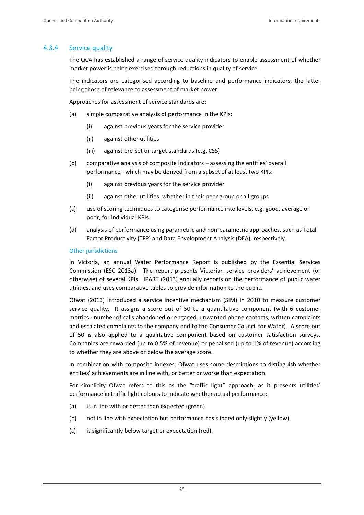# 4.3.4 Service quality

The QCA has established a range of service quality indicators to enable assessment of whether market power is being exercised through reductions in quality of service.

The indicators are categorised according to baseline and performance indicators, the latter being those of relevance to assessment of market power.

Approaches for assessment of service standards are:

- (a) simple comparative analysis of performance in the KPIs:
	- (i) against previous years for the service provider
	- (ii) against other utilities
	- (iii) against pre‐set or target standards (e.g. CSS)
- (b) comparative analysis of composite indicators assessing the entities' overall performance ‐ which may be derived from a subset of at least two KPIs:
	- (i) against previous years for the service provider
	- (ii) against other utilities, whether in their peer group or all groups
- (c) use of scoring techniques to categorise performance into levels, e.g. good, average or poor, for individual KPIs.
- (d) analysis of performance using parametric and non‐parametric approaches, such as Total Factor Productivity (TFP) and Data Envelopment Analysis (DEA), respectively.

#### Other jurisdictions

In Victoria, an annual Water Performance Report is published by the Essential Services Commission (ESC 2013a). The report presents Victorian service providers' achievement (or otherwise) of several KPIs. IPART (2013) annually reports on the performance of public water utilities, and uses comparative tables to provide information to the public.

Ofwat (2013) introduced a service incentive mechanism (SIM) in 2010 to measure customer service quality. It assigns a score out of 50 to a quantitative component (with 6 customer metrics - number of calls abandoned or engaged, unwanted phone contacts, written complaints and escalated complaints to the company and to the Consumer Council for Water). A score out of 50 is also applied to a qualitative component based on customer satisfaction surveys. Companies are rewarded (up to 0.5% of revenue) or penalised (up to 1% of revenue) according to whether they are above or below the average score.

In combination with composite indexes, Ofwat uses some descriptions to distinguish whether entities' achievements are in line with, or better or worse than expectation.

For simplicity Ofwat refers to this as the "traffic light" approach, as it presents utilities' performance in traffic light colours to indicate whether actual performance:

- (a) is in line with or better than expected (green)
- (b) not in line with expectation but performance has slipped only slightly (yellow)
- (c) is significantly below target or expectation (red).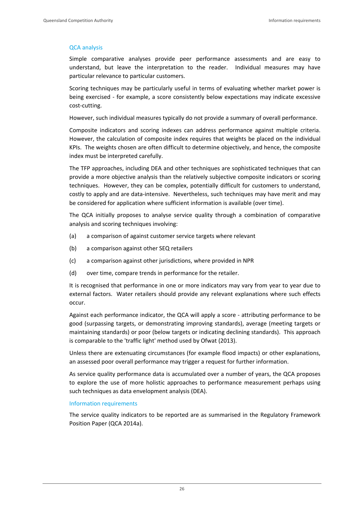# QCA analysis

Simple comparative analyses provide peer performance assessments and are easy to understand, but leave the interpretation to the reader. Individual measures may have particular relevance to particular customers.

Scoring techniques may be particularly useful in terms of evaluating whether market power is being exercised - for example, a score consistently below expectations may indicate excessive cost‐cutting.

However, such individual measures typically do not provide a summary of overall performance.

Composite indicators and scoring indexes can address performance against multiple criteria. However, the calculation of composite index requires that weights be placed on the individual KPIs. The weights chosen are often difficult to determine objectively, and hence, the composite index must be interpreted carefully.

The TFP approaches, including DEA and other techniques are sophisticated techniques that can provide a more objective analysis than the relatively subjective composite indicators or scoring techniques. However, they can be complex, potentially difficult for customers to understand, costly to apply and are data‐intensive. Nevertheless, such techniques may have merit and may be considered for application where sufficient information is available (over time).

The QCA initially proposes to analyse service quality through a combination of comparative analysis and scoring techniques involving:

- (a) a comparison of against customer service targets where relevant
- (b) a comparison against other SEQ retailers
- (c) a comparison against other jurisdictions, where provided in NPR
- (d) over time, compare trends in performance for the retailer.

It is recognised that performance in one or more indicators may vary from year to year due to external factors. Water retailers should provide any relevant explanations where such effects occur.

Against each performance indicator, the QCA will apply a score ‐ attributing performance to be good (surpassing targets, or demonstrating improving standards), average (meeting targets or maintaining standards) or poor (below targets or indicating declining standards). This approach is comparable to the 'traffic light' method used by Ofwat (2013).

Unless there are extenuating circumstances (for example flood impacts) or other explanations, an assessed poor overall performance may trigger a request for further information.

As service quality performance data is accumulated over a number of years, the QCA proposes to explore the use of more holistic approaches to performance measurement perhaps using such techniques as data envelopment analysis (DEA).

## Information requirements

The service quality indicators to be reported are as summarised in the Regulatory Framework Position Paper (QCA 2014a).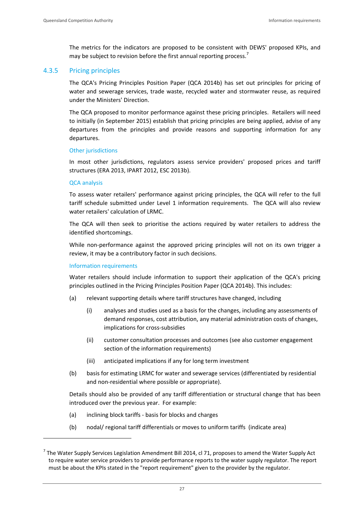The metrics for the indicators are proposed to be consistent with DEWS' proposed KPIs, and may be subject to revision before the first annual reporting process.<sup>7</sup>

# 4.3.5 Pricing principles

The QCA's Pricing Principles Position Paper (QCA 2014b) has set out principles for pricing of water and sewerage services, trade waste, recycled water and stormwater reuse, as required under the Ministers' Direction.

The QCA proposed to monitor performance against these pricing principles. Retailers will need to initially (in September 2015) establish that pricing principles are being applied, advise of any departures from the principles and provide reasons and supporting information for any departures.

#### Other jurisdictions

In most other jurisdictions, regulators assess service providers' proposed prices and tariff structures (ERA 2013, IPART 2012, ESC 2013b).

## QCA analysis

To assess water retailers' performance against pricing principles, the QCA will refer to the full tariff schedule submitted under Level 1 information requirements. The QCA will also review water retailers' calculation of LRMC.

The QCA will then seek to prioritise the actions required by water retailers to address the identified shortcomings.

While non-performance against the approved pricing principles will not on its own trigger a review, it may be a contributory factor in such decisions.

## Information requirements

<u> Andrew Maria (1989)</u>

Water retailers should include information to support their application of the QCA's pricing principles outlined in the Pricing Principles Position Paper (QCA 2014b). This includes:

- (a) relevant supporting details where tariff structures have changed, including
	- (i) analyses and studies used as a basis for the changes, including any assessments of demand responses, cost attribution, any material administration costs of changes, implications for cross‐subsidies
	- (ii) customer consultation processes and outcomes (see also customer engagement section of the information requirements)
	- (iii) anticipated implications if any for long term investment
- (b) basis for estimating LRMC for water and sewerage services (differentiated by residential and non‐residential where possible or appropriate).

Details should also be provided of any tariff differentiation or structural change that has been introduced over the previous year. For example:

- (a) inclining block tariffs ‐ basis for blocks and charges
- (b) nodal/ regional tariff differentials or moves to uniform tariffs (indicate area)

 $<sup>7</sup>$  The Water Supply Services Legislation Amendment Bill 2014, cl 71, proposes to amend the Water Supply Act</sup> to require water service providers to provide performance reports to the water supply regulator. The report must be about the KPIs stated in the "report requirement" given to the provider by the regulator.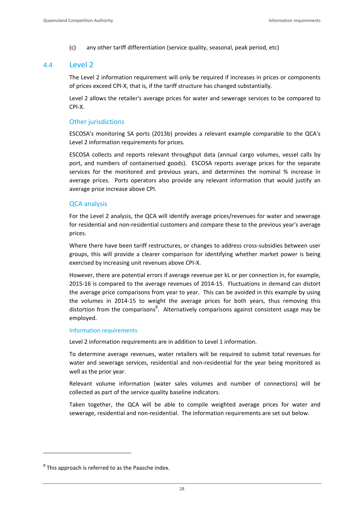(c) any other tariff differentiation (service quality, seasonal, peak period, etc)

# 4.4 Level 2

The Level 2 information requirement will only be required if increases in prices or components of prices exceed CPI‐X, that is, if the tariff structure has changed substantially.

Level 2 allows the retailer's average prices for water and sewerage services to be compared to CPI‐X.

# Other jurisdictions

ESCOSA's monitoring SA ports (2013b) provides a relevant example comparable to the QCA's Level 2 information requirements for prices.

ESCOSA collects and reports relevant throughput data (annual cargo volumes, vessel calls by port, and numbers of containerised goods). ESCOSA reports average prices for the separate services for the monitored and previous years, and determines the nominal % increase in average prices. Ports operators also provide any relevant information that would justify an average price increase above CPI.

# QCA analysis

For the Level 2 analysis, the QCA will identify average prices/revenues for water and sewerage for residential and non-residential customers and compare these to the previous year's average prices.

Where there have been tariff restructures, or changes to address cross-subsidies between user groups, this will provide a clearer comparison for identifying whether market power is being exercised by increasing unit revenues above CPI‐X.

However, there are potential errors if average revenue per kL or per connection in, for example, 2015‐16 is compared to the average revenues of 2014‐15. Fluctuations in demand can distort the average price comparisons from year to year. This can be avoided in this example by using the volumes in 2014‐15 to weight the average prices for both years, thus removing this distortion from the comparisons<sup>8</sup>. Alternatively comparisons against consistent usage may be employed.

## Information requirements

Level 2 information requirements are in addition to Level 1 information.

To determine average revenues, water retailers will be required to submit total revenues for water and sewerage services, residential and non-residential for the year being monitored as well as the prior year.

Relevant volume information (water sales volumes and number of connections) will be collected as part of the service quality baseline indicators.

Taken together, the QCA will be able to compile weighted average prices for water and sewerage, residential and non-residential. The information requirements are set out below.

<u> Andrew Maria (1989)</u>

 $8$  This approach is referred to as the Paasche index.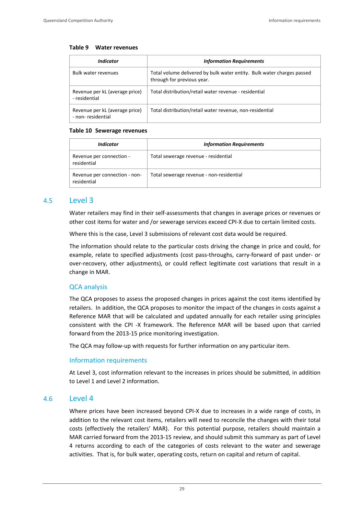#### **Table 9 Water revenues**

| Indicator                                           | <b>Information Requirements</b>                                                                      |
|-----------------------------------------------------|------------------------------------------------------------------------------------------------------|
| <b>Bulk water revenues</b>                          | Total volume delivered by bulk water entity. Bulk water charges passed<br>through for previous year. |
| Revenue per kL (average price)<br>- residential     | Total distribution/retail water revenue - residential                                                |
| Revenue per kL (average price)<br>- non-residential | Total distribution/retail water revenue, non-residential                                             |

#### **Table 10 Sewerage revenues**

| Indicator                                    | <b>Information Requirements</b>          |  |
|----------------------------------------------|------------------------------------------|--|
| Revenue per connection -<br>residential      | Total sewerage revenue - residential     |  |
| Revenue per connection - non-<br>residential | Total sewerage revenue - non-residential |  |

# 4.5 Level 3

Water retailers may find in their self-assessments that changes in average prices or revenues or other cost items for water and /or sewerage services exceed CPI‐X due to certain limited costs.

Where this is the case, Level 3 submissions of relevant cost data would be required.

The information should relate to the particular costs driving the change in price and could, for example, relate to specified adjustments (cost pass‐throughs, carry‐forward of past under‐ or over-recovery, other adjustments), or could reflect legitimate cost variations that result in a change in MAR.

# QCA analysis

The QCA proposes to assess the proposed changes in prices against the cost items identified by retailers. In addition, the QCA proposes to monitor the impact of the changes in costs against a Reference MAR that will be calculated and updated annually for each retailer using principles consistent with the CPI ‐X framework. The Reference MAR will be based upon that carried forward from the 2013‐15 price monitoring investigation.

The QCA may follow‐up with requests for further information on any particular item.

## Information requirements

At Level 3, cost information relevant to the increases in prices should be submitted, in addition to Level 1 and Level 2 information.

# 4.6 Level 4

Where prices have been increased beyond CPI-X due to increases in a wide range of costs, in addition to the relevant cost items, retailers will need to reconcile the changes with their total costs (effectively the retailers' MAR). For this potential purpose, retailers should maintain a MAR carried forward from the 2013‐15 review, and should submit this summary as part of Level 4 returns according to each of the categories of costs relevant to the water and sewerage activities. That is, for bulk water, operating costs, return on capital and return of capital.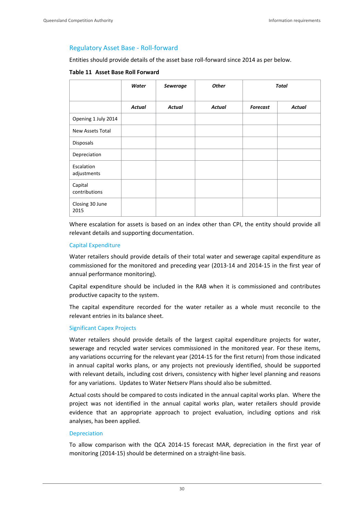# Regulatory Asset Base ‐ Roll‐forward

Entities should provide details of the asset base roll‐forward since 2014 as per below.

#### **Table 11 Asset Base Roll Forward**

|                           | Water         | <b>Sewerage</b> | <b>Other</b>  | Total           |               |
|---------------------------|---------------|-----------------|---------------|-----------------|---------------|
|                           | <b>Actual</b> | <b>Actual</b>   | <b>Actual</b> | <b>Forecast</b> | <b>Actual</b> |
| Opening 1 July 2014       |               |                 |               |                 |               |
| New Assets Total          |               |                 |               |                 |               |
| Disposals                 |               |                 |               |                 |               |
| Depreciation              |               |                 |               |                 |               |
| Escalation<br>adjustments |               |                 |               |                 |               |
| Capital<br>contributions  |               |                 |               |                 |               |
| Closing 30 June<br>2015   |               |                 |               |                 |               |

Where escalation for assets is based on an index other than CPI, the entity should provide all relevant details and supporting documentation.

## Capital Expenditure

Water retailers should provide details of their total water and sewerage capital expenditure as commissioned for the monitored and preceding year (2013‐14 and 2014‐15 in the first year of annual performance monitoring).

Capital expenditure should be included in the RAB when it is commissioned and contributes productive capacity to the system.

The capital expenditure recorded for the water retailer as a whole must reconcile to the relevant entries in its balance sheet.

#### Significant Capex Projects

Water retailers should provide details of the largest capital expenditure projects for water. sewerage and recycled water services commissioned in the monitored year. For these items, any variations occurring for the relevant year (2014‐15 for the first return) from those indicated in annual capital works plans, or any projects not previously identified, should be supported with relevant details, including cost drivers, consistency with higher level planning and reasons for any variations. Updates to Water Netserv Plans should also be submitted.

Actual costs should be compared to costs indicated in the annual capital works plan. Where the project was not identified in the annual capital works plan, water retailers should provide evidence that an appropriate approach to project evaluation, including options and risk analyses, has been applied.

#### Depreciation

To allow comparison with the QCA 2014‐15 forecast MAR, depreciation in the first year of monitoring (2014‐15) should be determined on a straight‐line basis.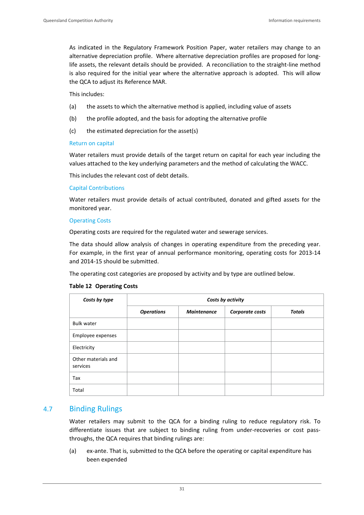As indicated in the Regulatory Framework Position Paper, water retailers may change to an alternative depreciation profile. Where alternative depreciation profiles are proposed for long‐ life assets, the relevant details should be provided. A reconciliation to the straight‐line method is also required for the initial year where the alternative approach is adopted. This will allow the QCA to adjust its Reference MAR.

This includes:

- (a) the assets to which the alternative method is applied, including value of assets
- (b) the profile adopted, and the basis for adopting the alternative profile
- (c) the estimated depreciation for the asset(s)

#### Return on capital

Water retailers must provide details of the target return on capital for each year including the values attached to the key underlying parameters and the method of calculating the WACC.

This includes the relevant cost of debt details.

#### Capital Contributions

Water retailers must provide details of actual contributed, donated and gifted assets for the monitored year.

#### Operating Costs

Operating costs are required for the regulated water and sewerage services.

The data should allow analysis of changes in operating expenditure from the preceding year. For example, in the first year of annual performance monitoring, operating costs for 2013-14 and 2014‐15 should be submitted.

The operating cost categories are proposed by activity and by type are outlined below.

#### **Table 12 Operating Costs**

| Costs by type                   | Costs by activity |                    |                 |               |
|---------------------------------|-------------------|--------------------|-----------------|---------------|
|                                 | <b>Operations</b> | <b>Maintenance</b> | Corporate costs | <b>Totals</b> |
| <b>Bulk water</b>               |                   |                    |                 |               |
| Employee expenses               |                   |                    |                 |               |
| Electricity                     |                   |                    |                 |               |
| Other materials and<br>services |                   |                    |                 |               |
| Tax                             |                   |                    |                 |               |
| Total                           |                   |                    |                 |               |

# 4.7 Binding Rulings

Water retailers may submit to the QCA for a binding ruling to reduce regulatory risk. To differentiate issues that are subject to binding ruling from under-recoveries or cost passthroughs, the QCA requires that binding rulings are:

(a) ex‐ante. That is, submitted to the QCA before the operating or capital expenditure has been expended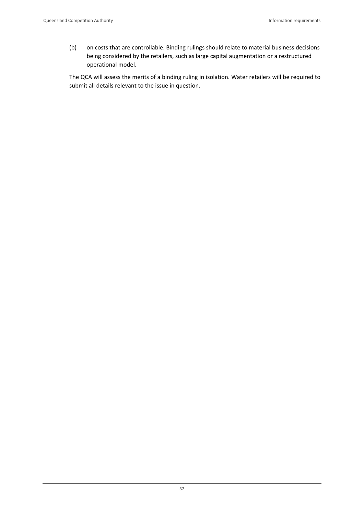(b) on costs that are controllable. Binding rulings should relate to material business decisions being considered by the retailers, such as large capital augmentation or a restructured operational model.

The QCA will assess the merits of a binding ruling in isolation. Water retailers will be required to submit all details relevant to the issue in question.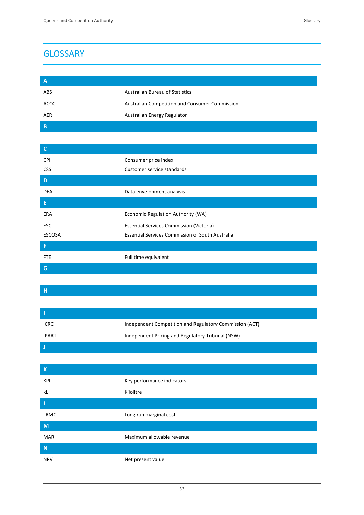| $\overline{A}$ |                                                |
|----------------|------------------------------------------------|
| <b>ABS</b>     | <b>Australian Bureau of Statistics</b>         |
| <b>ACCC</b>    | Australian Competition and Consumer Commission |
| AER            | Australian Energy Regulator                    |
| B              |                                                |

| $\overline{C}$ |                                                         |
|----------------|---------------------------------------------------------|
| <b>CPI</b>     | Consumer price index                                    |
| <b>CSS</b>     | Customer service standards                              |
| D              |                                                         |
| DEA            | Data envelopment analysis                               |
| E              |                                                         |
| ERA            | Economic Regulation Authority (WA)                      |
| <b>ESC</b>     | <b>Essential Services Commission (Victoria)</b>         |
| <b>ESCOSA</b>  | <b>Essential Services Commission of South Australia</b> |
| F              |                                                         |
| <b>FTE</b>     | Full time equivalent                                    |
| G              |                                                         |

**H**

| <b>ICRC</b>  | Independent Competition and Regulatory Commission (ACT) |
|--------------|---------------------------------------------------------|
| <b>IPART</b> | Independent Pricing and Regulatory Tribunal (NSW)       |
|              |                                                         |

| $\sf K$     |                            |
|-------------|----------------------------|
| KPI         | Key performance indicators |
| kL          | Kilolitre                  |
| $\mathsf L$ |                            |
| LRMC        | Long run marginal cost     |
| M           |                            |
| MAR         | Maximum allowable revenue  |
| N           |                            |
| <b>NPV</b>  | Net present value          |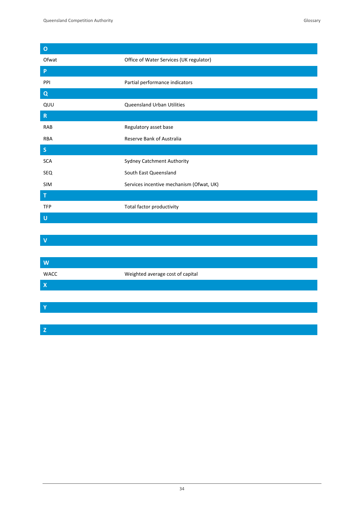**O**

**V**

**Z**

I

| ັ              |                                          |
|----------------|------------------------------------------|
| Ofwat          | Office of Water Services (UK regulator)  |
| P              |                                          |
| PPI            | Partial performance indicators           |
| Q              |                                          |
| QUU            | Queensland Urban Utilities               |
| $\mathbf R$    |                                          |
| RAB            | Regulatory asset base                    |
| <b>RBA</b>     | Reserve Bank of Australia                |
| $\mathsf{S}$   |                                          |
| <b>SCA</b>     | Sydney Catchment Authority               |
| SEQ            | South East Queensland                    |
| <b>SIM</b>     | Services incentive mechanism (Ofwat, UK) |
| т              |                                          |
| <b>TFP</b>     | Total factor productivity                |
| U              |                                          |
|                |                                          |
| <b>Service</b> |                                          |

| $\mathbf W$               |                                  |  |
|---------------------------|----------------------------------|--|
| <b>WACC</b>               | Weighted average cost of capital |  |
| $\boldsymbol{\mathsf{X}}$ |                                  |  |
|                           |                                  |  |
| Ÿ                         |                                  |  |
|                           |                                  |  |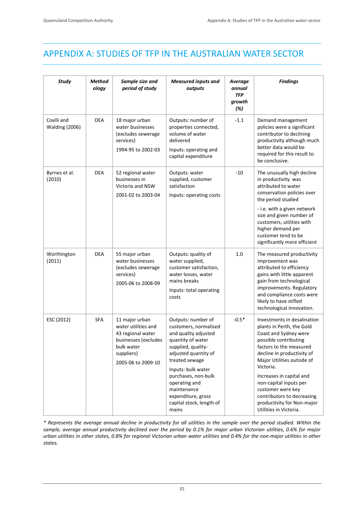# APPENDIX A: STUDIES OF TFP IN THE AUSTRALIAN WATER SECTOR

| <b>Study</b>                        | Method<br>ology | Sample size and<br>period of study                                                                                                   | <b>Measured inputs and</b><br>outputs                                                                                                                                                                                                                                                            | <b>Average</b><br>annual<br><b>TFP</b><br>growth<br>(%) | <b>Findings</b>                                                                                                                                                                                                                                                                                                                                                                 |
|-------------------------------------|-----------------|--------------------------------------------------------------------------------------------------------------------------------------|--------------------------------------------------------------------------------------------------------------------------------------------------------------------------------------------------------------------------------------------------------------------------------------------------|---------------------------------------------------------|---------------------------------------------------------------------------------------------------------------------------------------------------------------------------------------------------------------------------------------------------------------------------------------------------------------------------------------------------------------------------------|
| Coelli and<br><b>Walding (2006)</b> | <b>DEA</b>      | 18 major urban<br>water businesses<br>(excludes sewerage<br>services)<br>1994-95 to 2002-03                                          | Outputs: number of<br>properties connected,<br>volume of water<br>delivered<br>Inputs: operating and<br>capital expenditure                                                                                                                                                                      | $-1.1$                                                  | Demand management<br>policies were a significant<br>contributor to declining<br>productivity although much<br>better data would be<br>required for this result to<br>be conclusive.                                                                                                                                                                                             |
| Byrnes et al.<br>(2010)             | <b>DEA</b>      | 52 regional water<br>businesses in<br>Victoria and NSW<br>2001-02 to 2003-04                                                         | Outputs: water<br>supplied, customer<br>satisfaction<br>Inputs: operating costs                                                                                                                                                                                                                  | $-10$                                                   | The unusually high decline<br>in productivity was<br>attributed to water<br>conservation policies over<br>the period studied<br>- i.e. with a given network<br>size and given number of<br>customers, utilities with<br>higher demand per<br>customer tend to be<br>significantly more efficient                                                                                |
| Worthington<br>(2011)               | <b>DEA</b>      | 55 major urban<br>water businesses<br>(excludes sewerage<br>services)<br>2005-06 to 2008-09                                          | Outputs: quality of<br>water supplied,<br>customer satisfaction,<br>water losses, water<br>mains breaks<br>Inputs: total operating<br>costs                                                                                                                                                      | 1.0                                                     | The measured productivity<br>improvement was<br>attributed to efficiency<br>gains with little apparent<br>gain from technological<br>improvements. Regulatory<br>and compliance costs were<br>likely to have stifled<br>technological innovation.                                                                                                                               |
| ESC (2012)                          | <b>SFA</b>      | 11 major urban<br>water utilities and<br>43 regional water<br>businesses (excludes<br>bulk water<br>suppliers)<br>2005-06 to 2009-10 | Outputs: number of<br>customers, normalised<br>and quality adjusted<br>quantity of water<br>supplied, quality-<br>adjusted quantity of<br>treated sewage<br>Inputs: bulk water<br>purchases, non-bulk<br>operating and<br>maintenance<br>expenditure, gross<br>capital stock, length of<br>mains | $-0.5*$                                                 | Investments in desalination<br>plants in Perth, the Gold<br>Coast and Sydney were<br>possible contributing<br>factors to the measured<br>decline in productivity of<br>Major Utilities outside of<br>Victoria.<br>Increases in capital and<br>non-capital inputs per<br>customer were key<br>contributors to decreasing<br>productivity for Non-major<br>Utilities in Victoria. |

\* Represents the average annual decline in productivity for all utilities in the sample over the period studied. Within the sample, average annual productivity declined over the period by 0.1% for major urban Victorian utilities, 0.6% for major urban utilities in other states, 0.8% for regional Victorian urban water utilities and 0.4% for the non-major utilities in other *states.*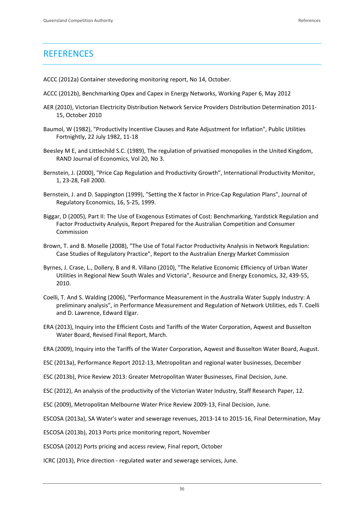# **REFERENCES**

- ACCC (2012a) Container stevedoring monitoring report, No 14, October.
- ACCC (2012b), Benchmarking Opex and Capex in Energy Networks, Working Paper 6, May 2012
- AER (2010), Victorian Electricity Distribution Network Service Providers Distribution Determination 2011‐ 15, October 2010
- Baumol, W (1982), "Productivity Incentive Clauses and Rate Adjustment for Inflation", Public Utilities Fortnightly, 22 July 1982, 11‐18
- Beesley M E, and Littlechild S.C. (1989), The regulation of privatised monopolies in the United Kingdom, RAND Journal of Economics, Vol 20, No 3.
- Bernstein, J. (2000), "Price Cap Regulation and Productivity Growth", International Productivity Monitor, 1, 23‐28, Fall 2000.
- Bernstein, J. and D. Sappington (1999), "Setting the X factor in Price-Cap Regulation Plans", Journal of Regulatory Economics, 16, 5‐25, 1999.
- Biggar, D (2005), Part II: The Use of Exogenous Estimates of Cost: Benchmarking, Yardstick Regulation and Factor Productivity Analysis, Report Prepared for the Australian Competition and Consumer Commission
- Brown, T. and B. Moselle (2008), "The Use of Total Factor Productivity Analysis in Network Regulation: Case Studies of Regulatory Practice", Report to the Australian Energy Market Commission
- Byrnes, J. Crase, L., Dollery, B and R. Villano (2010), "The Relative Economic Efficiency of Urban Water Utilities in Regional New South Wales and Victoria", Resource and Energy Economics, 32, 439‐55, 2010.
- Coelli, T. And S. Walding (2006), "Performance Measurement in the Australia Water Supply Industry: A preliminary analysis", in Performance Measurement and Regulation of Network Utilities, eds T. Coelli and D. Lawrence, Edward Elgar.
- ERA (2013), Inquiry into the Efficient Costs and Tariffs of the Water Corporation, Aqwest and Busselton Water Board, Revised Final Report, March.
- ERA (2009), Inquiry into the Tariffs of the Water Corporation, Aqwest and Busselton Water Board, August.
- ESC (2013a), Performance Report 2012‐13, Metropolitan and regional water businesses, December
- ESC (2013b), Price Review 2013: Greater Metropolitan Water Businesses, Final Decision, June.
- ESC (2012), An analysis of the productivity of the Victorian Water Industry, Staff Research Paper, 12.
- ESC (2009), Metropolitan Melbourne Water Price Review 2009‐13, Final Decision, June.
- ESCOSA (2013a), SA Water's water and sewerage revenues, 2013‐14 to 2015‐16, Final Determination, May
- ESCOSA (2013b), 2013 Ports price monitoring report, November
- ESCOSA (2012) Ports pricing and access review, Final report, October
- ICRC (2013), Price direction ‐ regulated water and sewerage services, June.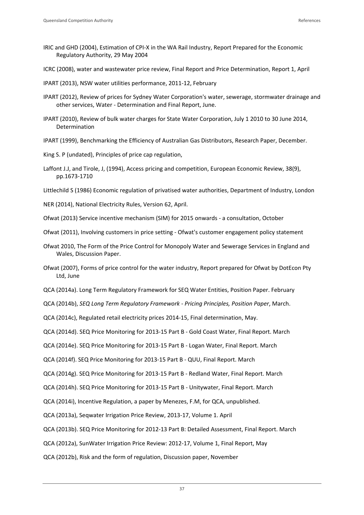- IRIC and GHD (2004), Estimation of CPI‐X in the WA Rail Industry, Report Prepared for the Economic Regulatory Authority, 29 May 2004
- ICRC (2008), water and wastewater price review, Final Report and Price Determination, Report 1, April
- IPART (2013), NSW water utilities performance, 2011‐12, February
- IPART (2012), Review of prices for Sydney Water Corporation's water, sewerage, stormwater drainage and other services, Water ‐ Determination and Final Report, June.
- IPART (2010), Review of bulk water charges for State Water Corporation, July 1 2010 to 30 June 2014, Determination
- IPART (1999), Benchmarking the Efficiency of Australian Gas Distributors, Research Paper, December.
- King S. P (undated), Principles of price cap regulation,
- Laffont J.J, and Tirole, J, (1994), Access pricing and competition, European Economic Review, 38(9), pp.1673‐1710
- Littlechild S (1986) Economic regulation of privatised water authorities, Department of Industry, London
- NER (2014), National Electricity Rules, Version 62, April.
- Ofwat (2013) Service incentive mechanism (SIM) for 2015 onwards ‐ a consultation, October
- Ofwat (2011), Involving customers in price setting ‐ Ofwat's customer engagement policy statement
- Ofwat 2010, The Form of the Price Control for Monopoly Water and Sewerage Services in England and Wales, Discussion Paper.
- Ofwat (2007), Forms of price control for the water industry, Report prepared for Ofwat by DotEcon Pty Ltd, June
- QCA (2014a). Long Term Regulatory Framework for SEQ Water Entities, Position Paper. February
- QCA (2014b), *SEQ Long Term Regulatory Framework ‐ Pricing Principles, Position Paper*, March.
- QCA (2014c), Regulated retail electricity prices 2014‐15, Final determination, May.
- QCA (2014d). SEQ Price Monitoring for 2013‐15 Part B ‐ Gold Coast Water, Final Report. March
- QCA (2014e). SEQ Price Monitoring for 2013‐15 Part B ‐ Logan Water, Final Report. March
- QCA (2014f). SEQ Price Monitoring for 2013‐15 Part B ‐ QUU, Final Report. March
- QCA (2014g). SEQ Price Monitoring for 2013‐15 Part B ‐ Redland Water, Final Report. March
- QCA (2014h). SEQ Price Monitoring for 2013‐15 Part B ‐ Unitywater, Final Report. March
- QCA (2014i), Incentive Regulation, a paper by Menezes, F.M, for QCA, unpublished.
- QCA (2013a), Seqwater Irrigation Price Review, 2013‐17, Volume 1. April
- QCA (2013b). SEQ Price Monitoring for 2012‐13 Part B: Detailed Assessment, Final Report. March
- QCA (2012a), SunWater Irrigation Price Review: 2012‐17, Volume 1, Final Report, May
- QCA (2012b), Risk and the form of regulation, Discussion paper, November